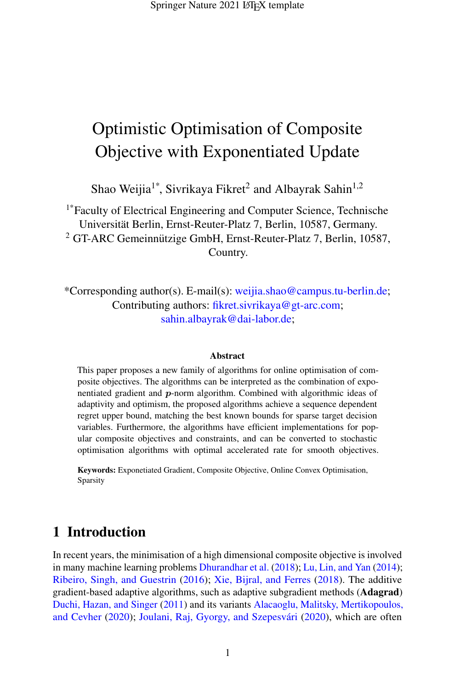# Optimistic Optimisation of Composite Objective with Exponentiated Update

Shao Weijia<sup>1\*</sup>, Sivrikaya Fikret<sup>2</sup> and Albayrak Sahin<sup>1,2</sup>

1\*Faculty of Electrical Engineering and Computer Science, Technische Universitat Berlin, Ernst-Reuter-Platz 7, Berlin, 10587, Germany. ¨ <sup>2</sup> GT-ARC Gemeinnützige GmbH, Ernst-Reuter-Platz 7, Berlin, 10587, Country.

\*Corresponding author(s). E-mail(s): weijia.shao@campus.tu-berlin.de; Contributing authors: fikret.sivrikaya@gt-arc.com; sahin.albayrak@dai-labor.de;

### Abstract

This paper proposes a new family of algorithms for online optimisation of composite objectives. The algorithms can be interpreted as the combination of exponentiated gradient and p-norm algorithm. Combined with algorithmic ideas of adaptivity and optimism, the proposed algorithms achieve a sequence dependent regret upper bound, matching the best known bounds for sparse target decision variables. Furthermore, the algorithms have efficient implementations for popular composite objectives and constraints, and can be converted to stochastic optimisation algorithms with optimal accelerated rate for smooth objectives.

Keywords: Exponetiated Gradient, Composite Objective, Online Convex Optimisation, Sparsity

# 1 Introduction

In recent years, the minimisation of a high dimensional composite objective is involved in many machine learning problems [Dhurandhar et al.](#page-39-0) [\(2018\)](#page-39-0); [Lu, Lin, and Yan](#page-40-0) [\(2014\)](#page-40-0); [Ribeiro, Singh, and Guestrin](#page-41-0) [\(2016\)](#page-41-0); [Xie, Bijral, and Ferres](#page-41-1) [\(2018\)](#page-41-1). The additive gradient-based adaptive algorithms, such as adaptive subgradient methods (Adagrad) [Duchi, Hazan, and Singer](#page-39-1) [\(2011\)](#page-39-1) and its variants [Alacaoglu, Malitsky, Mertikopoulos,](#page-38-0) [and Cevher](#page-38-0) [\(2020\)](#page-40-1); Joulani, Raj, Gyorgy, and Szepesvári (2020), which are often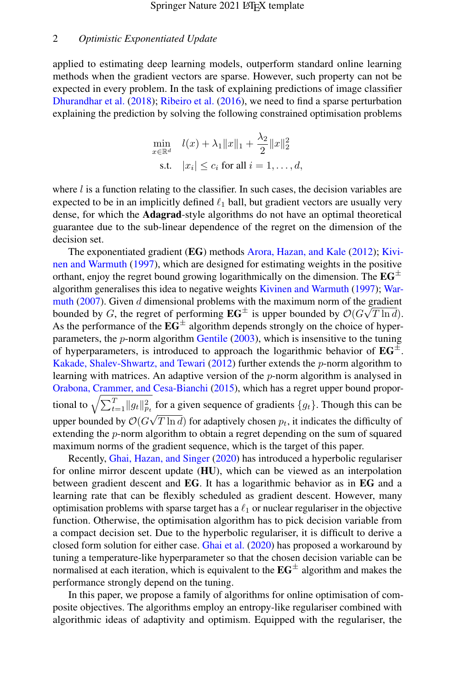applied to estimating deep learning models, outperform standard online learning methods when the gradient vectors are sparse. However, such property can not be expected in every problem. In the task of explaining predictions of image classifier [Dhurandhar et al.](#page-39-0) [\(2018\)](#page-39-0); [Ribeiro et al.](#page-41-0) [\(2016\)](#page-41-0), we need to find a sparse perturbation explaining the prediction by solving the following constrained optimisation problems

$$
\min_{x \in \mathbb{R}^d} \quad l(x) + \lambda_1 \|x\|_1 + \frac{\lambda_2}{2} \|x\|_2^2
$$
\n
$$
\text{s.t.} \quad |x_i| \le c_i \text{ for all } i = 1, \dots, d,
$$

where  $l$  is a function relating to the classifier. In such cases, the decision variables are expected to be in an implicitly defined  $\ell_1$  ball, but gradient vectors are usually very dense, for which the **Adagrad**-style algorithms do not have an optimal theoretical guarantee due to the sub-linear dependence of the regret on the dimension of the decision set.

The exponentiated gradient (EG) methods [Arora, Hazan, and Kale](#page-38-1) [\(2012\)](#page-38-1); [Kivi](#page-40-2)[nen and Warmuth](#page-40-2) [\(1997\)](#page-40-2), which are designed for estimating weights in the positive orthant, enjoy the regret bound growing logarithmically on the dimension. The  $EG^{\pm}$ algorithm generalises this idea to negative weights [Kivinen and Warmuth](#page-40-2) [\(1997\)](#page-40-2); [War](#page-41-2)[muth](#page-41-2) [\(2007\)](#page-41-2). Given d dimensional problems with the maximum norm of the gradient bounded by G, the regret of performing  $EG^{\pm}$  is upper bounded by  $\mathcal{O}(G\sqrt{T \ln d})$ . As the performance of the  $\mathbf{EG}^{\pm}$  algorithm depends strongly on the choice of hyperparameters, the  $p$ -norm algorithm [Gentile](#page-39-2)  $(2003)$ , which is insensitive to the tuning of hyperparameters, is introduced to approach the logarithmic behavior of  $\mathbf{E}G^{\pm}$ . [Kakade, Shalev-Shwartz, and Tewari](#page-40-3) [\(2012\)](#page-40-3) further extends the  $p$ -norm algorithm to learning with matrices. An adaptive version of the p-norm algorithm is analysed in [Orabona, Crammer, and Cesa-Bianchi](#page-41-3) [\(2015\)](#page-41-3), which has a regret upper bound proportional to  $\sqrt{\sum_{t=1}^{T} ||g_t||_{p_t}^2}$  for a given sequence of gradients  $\{g_t\}$ . Though this can be upper bounded by  $\mathcal{O}(G\sqrt{T \ln d})$  for adaptively chosen  $p_t$ , it indicates the difficulty of extending the *p*-norm algorithm to obtain a regret depending on the sum of squared maximum norms of the gradient sequence, which is the target of this paper.

Recently, [Ghai, Hazan, and Singer](#page-39-3) [\(2020\)](#page-39-3) has introduced a hyperbolic regulariser for online mirror descent update (HU), which can be viewed as an interpolation between gradient descent and EG. It has a logarithmic behavior as in EG and a learning rate that can be flexibly scheduled as gradient descent. However, many optimisation problems with sparse target has a  $\ell_1$  or nuclear regulariser in the objective function. Otherwise, the optimisation algorithm has to pick decision variable from a compact decision set. Due to the hyperbolic regulariser, it is difficult to derive a closed form solution for either case. [Ghai et al.](#page-39-3) [\(2020\)](#page-39-3) has proposed a workaround by tuning a temperature-like hyperparameter so that the chosen decision variable can be normalised at each iteration, which is equivalent to the  $EG^{\pm}$  algorithm and makes the performance strongly depend on the tuning.

In this paper, we propose a family of algorithms for online optimisation of composite objectives. The algorithms employ an entropy-like regulariser combined with algorithmic ideas of adaptivity and optimism. Equipped with the regulariser, the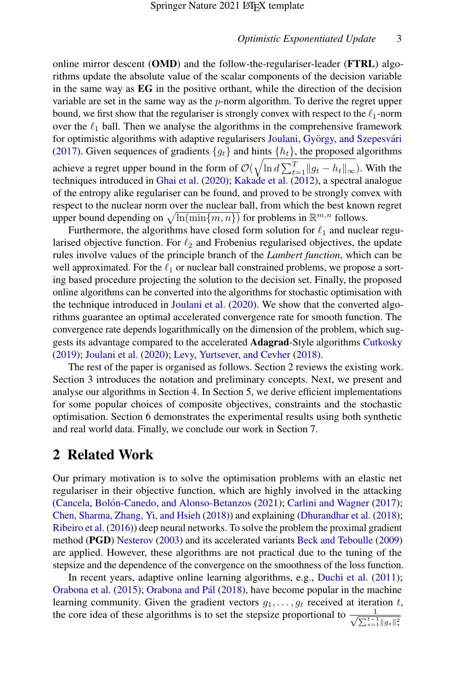online mirror descent  $(OMD)$  and the follow-the-regulariser-leader  $(FTRL)$  algorithms update the absolute value of the scalar components of the decision variable in the same way as EG in the positive orthant, while the direction of the decision variable are set in the same way as the  $p$ -norm algorithm. To derive the regret upper bound, we first show that the regulariser is strongly convex with respect to the  $\ell_1$ -norm over the  $\ell_1$  ball. Then we analyse the algorithms in the comprehensive framework for optimistic algorithms with adaptive regularisers Joulani, György, and Szepesvári [\(2017\)](#page-40-4). Given sequences of gradients  $\{q_t\}$  and hints  $\{h_t\}$ , the proposed algorithms achieve a regret upper bound in the form of  $\mathcal{O}(\sqrt{\ln d \sum_{t=1}^{T} ||g_t - h_t||_{\infty}})$ . With the techniques introduced in [Ghai et al.](#page-39-3) [\(2020\)](#page-39-3); [Kakade et al.](#page-40-3) [\(2012\)](#page-40-3), a spectral analogue of the entropy alike regulariser can be found, and proved to be strongly convex with respect to the nuclear norm over the nuclear ball, from which the best known regret upper bound depending on  $\sqrt{\ln(\min\{m, n\})}$  for problems in  $\mathbb{R}^{m,n}$  follows.

Furthermore, the algorithms have closed form solution for  $\ell_1$  and nuclear regularised objective function. For  $\ell_2$  and Frobenius regularised objectives, the update rules involve values of the principle branch of the *Lambert function*, which can be well approximated. For the  $\ell_1$  or nuclear ball constrained problems, we propose a sorting based procedure projecting the solution to the decision set. Finally, the proposed online algorithms can be converted into the algorithms for stochastic optimisation with the technique introduced in [Joulani et al.](#page-40-1) [\(2020\)](#page-40-1). We show that the converted algorithms guarantee an optimal accelerated convergence rate for smooth function. The convergence rate depends logarithmically on the dimension of the problem, which suggests its advantage compared to the accelerated Adagrad-Style algorithms [Cutkosky](#page-39-4) [\(2019\)](#page-39-4); [Joulani et al.](#page-40-1) [\(2020\)](#page-40-1); [Levy, Yurtsever, and Cevher](#page-40-5) [\(2018\)](#page-40-5).

The rest of the paper is organised as follows. Section 2 reviews the existing work. Section 3 introduces the notation and preliminary concepts. Next, we present and analyse our algorithms in Section 4. In Section 5, we derive efficient implementations for some popular choices of composite objectives, constraints and the stochastic optimisation. Section 6 demonstrates the experimental results using both synthetic and real world data. Finally, we conclude our work in Section 7.

# 2 Related Work

Our primary motivation is to solve the optimisation problems with an elastic net regulariser in their objective function, which are highly involved in the attacking (Cancela, Bolón-Canedo, and Alonso-Betanzos [\(2021\)](#page-39-5); [Carlini and Wagner](#page-39-6) [\(2017\)](#page-39-6); [Chen, Sharma, Zhang, Yi, and Hsieh](#page-39-7) [\(2018\)](#page-39-7)) and explaining [\(Dhurandhar et al.](#page-39-0) [\(2018\)](#page-39-0); [Ribeiro et al.](#page-41-0) [\(2016\)](#page-41-0)) deep neural networks. To solve the problem the proximal gradient method (PGD) [Nesterov](#page-40-6) [\(2003\)](#page-40-6) and its accelerated variants [Beck and Teboulle](#page-39-8) [\(2009\)](#page-39-8) are applied. However, these algorithms are not practical due to the tuning of the stepsize and the dependence of the convergence on the smoothness of the loss function.

In recent years, adaptive online learning algorithms, e.g., [Duchi et al.](#page-39-1) [\(2011\)](#page-39-1); [Orabona et al.](#page-41-3) [\(2015\)](#page-41-3); Orabona and Pál [\(2018\)](#page-41-4), have become popular in the machine learning community. Given the gradient vectors  $q_1, \ldots, q_t$  received at iteration t, the core idea of these algorithms is to set the stepsize proportional to  $\frac{1}{\sqrt{1-t}}$  $\sum_{s=1}^{t-1} \|g_s\|_*^2$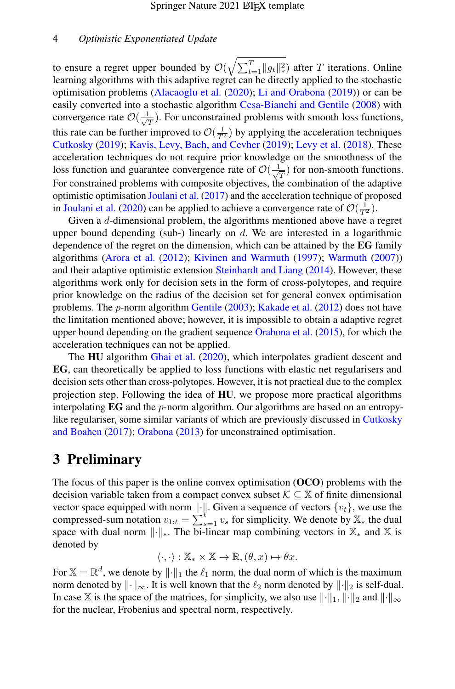to ensure a regret upper bounded by  $\mathcal{O}(\sqrt{\sum_{t=1}^{T} \|g_t\|_*^2})$  after  $T$  iterations. Online learning algorithms with this adaptive regret can be directly applied to the stochastic optimisation problems [\(Alacaoglu et al.](#page-38-0) [\(2020\)](#page-38-0); [Li and Orabona](#page-40-7) [\(2019\)](#page-40-7)) or can be easily converted into a stochastic algorithm [Cesa-Bianchi and Gentile](#page-39-9) [\(2008\)](#page-39-9) with convergence rate  $\mathcal{O}(\frac{1}{\sqrt{2}})$  $\frac{1}{T}$ ). For unconstrained problems with smooth loss functions, this rate can be further improved to  $\mathcal{O}(\frac{1}{T^2})$  by applying the acceleration techniques [Cutkosky](#page-39-4) [\(2019\)](#page-39-4); [Kavis, Levy, Bach, and Cevher](#page-40-8) [\(2019\)](#page-40-8); [Levy et al.](#page-40-5) [\(2018\)](#page-40-5). These acceleration techniques do not require prior knowledge on the smoothness of the loss function and guarantee convergence rate of  $\mathcal{O}(\frac{1}{\sqrt{n}})$  $\frac{1}{\overline{T}}$ ) for non-smooth functions. For constrained problems with composite objectives, the combination of the adaptive optimistic optimisation [Joulani et al.](#page-40-4) [\(2017\)](#page-40-4) and the acceleration technique of proposed in [Joulani et al.](#page-40-1) [\(2020\)](#page-40-1) can be applied to achieve a convergence rate of  $\mathcal{O}(\frac{1}{T^2})$ .

Given a d-dimensional problem, the algorithms mentioned above have a regret upper bound depending (sub-) linearly on  $d$ . We are interested in a logarithmic dependence of the regret on the dimension, which can be attained by the EG family algorithms [\(Arora et al.](#page-38-1) [\(2012\)](#page-38-1); [Kivinen and Warmuth](#page-40-2) [\(1997\)](#page-40-2); [Warmuth](#page-41-2) [\(2007\)](#page-41-2)) and their adaptive optimistic extension [Steinhardt and Liang](#page-41-5) [\(2014\)](#page-41-5). However, these algorithms work only for decision sets in the form of cross-polytopes, and require prior knowledge on the radius of the decision set for general convex optimisation problems. The *p*-norm algorithm [Gentile](#page-39-2) [\(2003\)](#page-39-2); [Kakade et al.](#page-40-3) [\(2012\)](#page-40-3) does not have the limitation mentioned above; however, it is impossible to obtain a adaptive regret upper bound depending on the gradient sequence [Orabona et al.](#page-41-3) [\(2015\)](#page-41-3), for which the acceleration techniques can not be applied.

The HU algorithm [Ghai et al.](#page-39-3) [\(2020\)](#page-39-3), which interpolates gradient descent and EG, can theoretically be applied to loss functions with elastic net regularisers and decision sets other than cross-polytopes. However, it is not practical due to the complex projection step. Following the idea of HU, we propose more practical algorithms interpolating  $EG$  and the p-norm algorithm. Our algorithms are based on an entropylike regulariser, some similar variants of which are previously discussed in [Cutkosky](#page-39-10) [and Boahen](#page-39-10) [\(2017\)](#page-39-10); [Orabona](#page-41-6) [\(2013\)](#page-41-6) for unconstrained optimisation.

# 3 Preliminary

The focus of this paper is the online convex optimisation (OCO) problems with the decision variable taken from a compact convex subset  $K \subseteq \mathbb{X}$  of finite dimensional vector space equipped with norm  $\|\cdot\|$ . Given a sequence of vectors  $\{v_t\}$ , we use the compressed-sum notation  $v_{1:t} = \sum_{s=1}^{t} v_s$  for simplicity. We denote by  $\mathbb{X}_*$  the dual space with dual norm  $\lVert \cdot \rVert_*$ . The bi-linear map combining vectors in  $\mathbb{X}_*$  and X is denoted by

$$
\langle \cdot, \cdot \rangle : \mathbb{X}_{*} \times \mathbb{X} \to \mathbb{R}, (\theta, x) \mapsto \theta x.
$$

For  $\mathbb{X} = \mathbb{R}^d$ , we denote by  $\|\cdot\|_1$  the  $\ell_1$  norm, the dual norm of which is the maximum norm denoted by  $\|\cdot\|_{\infty}$ . It is well known that the  $\ell_2$  norm denoted by  $\|\cdot\|_2$  is self-dual. In case X is the space of the matrices, for simplicity, we also use  $\|\cdot\|_1$ ,  $\|\cdot\|_2$  and  $\|\cdot\|_{\infty}$ for the nuclear, Frobenius and spectral norm, respectively.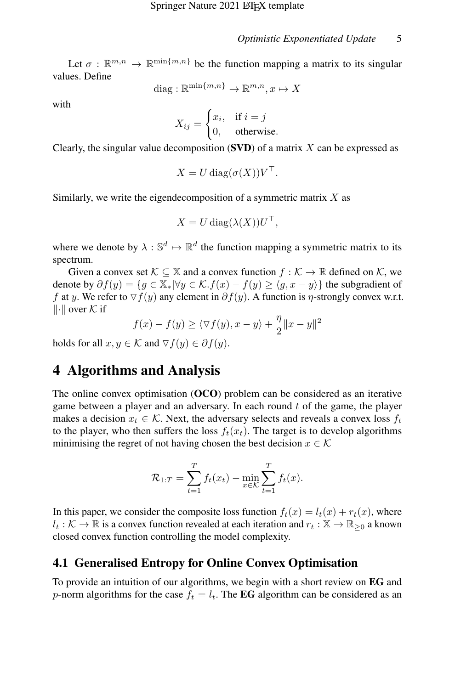Let  $\sigma : \mathbb{R}^{m,n} \to \mathbb{R}^{\min\{m,n\}}$  be the function mapping a matrix to its singular values. Define

diag: 
$$
\mathbb{R}^{\min\{m,n\}} \to \mathbb{R}^{m,n}, x \mapsto X
$$

with

$$
X_{ij} = \begin{cases} x_i, & \text{if } i = j \\ 0, & \text{otherwise.} \end{cases}
$$

Clearly, the singular value decomposition  $(SVD)$  of a matrix X can be expressed as

$$
X = U \operatorname{diag}(\sigma(X)) V^{\top}.
$$

Similarly, we write the eigendecomposition of a symmetric matrix  $X$  as

$$
X = U \operatorname{diag}(\lambda(X)) U^{\top},
$$

where we denote by  $\lambda : \mathbb{S}^d \mapsto \mathbb{R}^d$  the function mapping a symmetric matrix to its spectrum.

Given a convex set  $\mathcal{K} \subseteq \mathbb{X}$  and a convex function  $f : \mathcal{K} \to \mathbb{R}$  defined on  $\mathcal{K}$ , we denote by  $\partial f(y) = \{g \in \mathbb{X}_* | \forall y \in \mathcal{K}. f(x) - f(y) \ge \langle g, x - y \rangle\}$  the subgradient of f at y. We refer to  $\nabla f(y)$  any element in  $\partial f(y)$ . A function is  $\eta$ -strongly convex w.r.t.  $\|\cdot\|$  over K if

$$
f(x) - f(y) \ge \langle \nabla f(y), x - y \rangle + \frac{\eta}{2} ||x - y||^2
$$

holds for all  $x, y \in \mathcal{K}$  and  $\forall f(y) \in \partial f(y)$ .

# 4 Algorithms and Analysis

The online convex optimisation (OCO) problem can be considered as an iterative game between a player and an adversary. In each round  $t$  of the game, the player makes a decision  $x_t \in \mathcal{K}$ . Next, the adversary selects and reveals a convex loss  $f_t$ to the player, who then suffers the loss  $f_t(x_t)$ . The target is to develop algorithms minimising the regret of not having chosen the best decision  $x \in \mathcal{K}$ 

$$
\mathcal{R}_{1:T} = \sum_{t=1}^{T} f_t(x_t) - \min_{x \in \mathcal{K}} \sum_{t=1}^{T} f_t(x).
$$

In this paper, we consider the composite loss function  $f_t(x) = l_t(x) + r_t(x)$ , where  $l_t : \mathcal{K} \to \mathbb{R}$  is a convex function revealed at each iteration and  $r_t : \mathbb{X} \to \mathbb{R}_{\geq 0}$  a known closed convex function controlling the model complexity.

## 4.1 Generalised Entropy for Online Convex Optimisation

To provide an intuition of our algorithms, we begin with a short review on EG and p-norm algorithms for the case  $f_t = l_t$ . The **EG** algorithm can be considered as an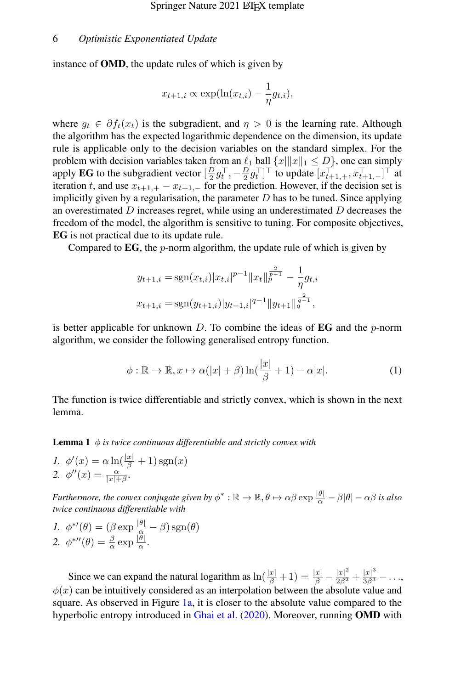instance of OMD, the update rules of which is given by

$$
x_{t+1,i} \propto \exp(\ln(x_{t,i}) - \frac{1}{\eta}g_{t,i}),
$$

where  $g_t \in \partial f_t(x_t)$  is the subgradient, and  $\eta > 0$  is the learning rate. Although the algorithm has the expected logarithmic dependence on the dimension, its update rule is applicable only to the decision variables on the standard simplex. For the problem with decision variables taken from an  $\ell_1$  ball  $\{x||x||_1 \le D\}$ , one can simply apply **EG** to the subgradient vector  $\left[\frac{D}{2}g_t^{\top}, -\frac{D}{2}g_t^{\top}\right]^{\top}$  to update  $\left[x_{t+1,+}^{\top}, x_{t+1,-}^{\top}\right]^{\top}$  at iteration t, and use  $x_{t+1,+} - x_{t+1,-}$  for the prediction. However, if the decision set is implicitly given by a regularisation, the parameter  $D$  has to be tuned. Since applying an overestimated  $D$  increases regret, while using an underestimated  $D$  decreases the freedom of the model, the algorithm is sensitive to tuning. For composite objectives, EG is not practical due to its update rule.

Compared to  $EG$ , the p-norm algorithm, the update rule of which is given by

$$
y_{t+1,i} = \text{sgn}(x_{t,i})|x_{t,i}|^{p-1} ||x_t||_p^{\frac{2}{p-1}} - \frac{1}{\eta} g_{t,i}
$$
  

$$
x_{t+1,i} = \text{sgn}(y_{t+1,i})|y_{t+1,i}|^{q-1} ||y_{t+1}||_q^{\frac{2}{q-1}},
$$

is better applicable for unknown  $D$ . To combine the ideas of **EG** and the *p*-norm algorithm, we consider the following generalised entropy function.

<span id="page-5-1"></span>
$$
\phi : \mathbb{R} \to \mathbb{R}, x \mapsto \alpha(|x| + \beta) \ln(\frac{|x|}{\beta} + 1) - \alpha |x|.
$$
 (1)

The function is twice differentiable and strictly convex, which is shown in the next lemma.

<span id="page-5-0"></span>**Lemma 1**  $\phi$  *is twice continuous differentiable and strictly convex with* 

I. 
$$
\phi'(x) = \alpha \ln\left(\frac{|x|}{\beta} + 1\right) \operatorname{sgn}(x)
$$
  
2. 
$$
\phi''(x) = \frac{\alpha}{|x| + \beta}.
$$

*Furthermore, the convex conjugate given by*  $\phi^* : \mathbb{R} \to \mathbb{R}, \theta \mapsto \alpha \beta \exp \frac{|\theta|}{\alpha} - \beta |\theta| - \alpha \beta$  *is also twice continuous differentiable with*

*I.* 
$$
\phi^{*'}(\theta) = (\beta \exp \frac{|\theta|}{\alpha} - \beta) \operatorname{sgn}(\theta)
$$
  
2.  $\phi^{*'}(\theta) = \frac{\beta}{\alpha} \exp \frac{|\theta|}{\alpha}$ .

Since we can expand the natural logarithm as  $\ln(\frac{|x|}{\beta}+1) = \frac{|x|}{\beta} - \frac{|x|^2}{2\beta^2} + \frac{|x|^3}{3\beta^3} - \ldots$  $\phi(x)$  can be intuitively considered as an interpolation between the absolute value and square. As observed in Figure [1a,](#page-6-0) it is closer to the absolute value compared to the hyperbolic entropy introduced in [Ghai et al.](#page-39-3) [\(2020\)](#page-39-3). Moreover, running OMD with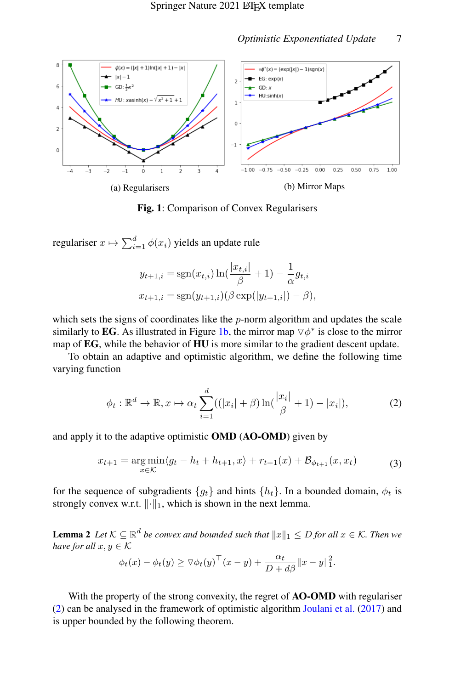<span id="page-6-0"></span>

Fig. 1: Comparison of Convex Regularisers

regulariser  $x \mapsto \sum_{i=1}^d \phi(x_i)$  yields an update rule

$$
y_{t+1,i} = \operatorname{sgn}(x_{t,i}) \ln(\frac{|x_{t,i}|}{\beta} + 1) - \frac{1}{\alpha} g_{t,i}
$$

$$
x_{t+1,i} = \operatorname{sgn}(y_{t+1,i})(\beta \exp(|y_{t+1,i}|) - \beta),
$$

which sets the signs of coordinates like the  $p$ -norm algorithm and updates the scale similarly to EG. As illustrated in Figure [1b,](#page-6-0) the mirror map  $\nabla \phi^*$  is close to the mirror map of EG, while the behavior of HU is more similar to the gradient descent update.

To obtain an adaptive and optimistic algorithm, we define the following time varying function

<span id="page-6-1"></span>
$$
\phi_t : \mathbb{R}^d \to \mathbb{R}, x \mapsto \alpha_t \sum_{i=1}^d ((|x_i| + \beta) \ln(\frac{|x_i|}{\beta} + 1) - |x_i|), \tag{2}
$$

<span id="page-6-2"></span>and apply it to the adaptive optimistic OMD (AO-OMD) given by

$$
x_{t+1} = \underset{x \in \mathcal{K}}{\arg \min} \langle g_t - h_t + h_{t+1}, x \rangle + r_{t+1}(x) + \mathcal{B}_{\phi_{t+1}}(x, x_t) \tag{3}
$$

for the sequence of subgradients  $\{g_t\}$  and hints  $\{h_t\}$ . In a bounded domain,  $\phi_t$  is strongly convex w.r.t.  $\lVert \cdot \rVert_1$ , which is shown in the next lemma.

<span id="page-6-3"></span>**Lemma 2** Let  $K \subseteq \mathbb{R}^d$  be convex and bounded such that  $||x||_1 \leq D$  for all  $x \in K$ . Then we *have for all*  $x, y \in K$ 

$$
\phi_t(x) - \phi_t(y) \geq \nabla \phi_t(y)^\top (x - y) + \frac{\alpha_t}{D + d\beta} ||x - y||_1^2.
$$

With the property of the strong convexity, the regret of **AO-OMD** with regulariser [\(2\)](#page-6-1) can be analysed in the framework of optimistic algorithm [Joulani et al.](#page-40-4) [\(2017\)](#page-40-4) and is upper bounded by the following theorem.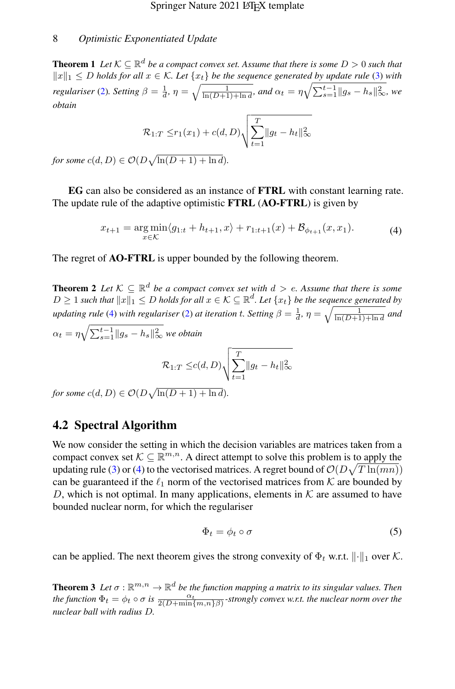<span id="page-7-3"></span>**Theorem 1** Let  $\mathcal{K} \subseteq \mathbb{R}^d$  be a compact convex set. Assume that there is some  $D > 0$  such that  $||x||_1 ≤ D$  *holds for all*  $x ∈ K$ *. Let*  $\{x_t\}$  *be the sequence generated by update rule* [\(3\)](#page-6-2) *with regulariser* [\(2\)](#page-6-1)*. Setting*  $\beta = \frac{1}{d}$ ,  $\eta = \sqrt{\frac{1}{\ln(D+1)+\ln d}}$ , and  $\alpha_t = \eta \sqrt{\sum_{s=1}^{t-1} ||g_s - h_s||^2_{\infty}}$ , we *obtain*

$$
\mathcal{R}_{1:T} \le r_1(x_1) + c(d, D) \sqrt{\sum_{t=1}^T \|g_t - h_t\|_{\infty}^2}
$$

 $\emph{for some}~c(d,D)\in\mathcal{O}(D\sqrt{\ln(D+1)+\ln d}).$ 

EG can also be considered as an instance of FTRL with constant learning rate. The update rule of the adaptive optimistic **FTRL** (AO-FTRL) is given by

$$
x_{t+1} = \underset{x \in \mathcal{K}}{\arg \min} \langle g_{1:t} + h_{t+1}, x \rangle + r_{1:t+1}(x) + \mathcal{B}_{\phi_{t+1}}(x, x_1). \tag{4}
$$

<span id="page-7-0"></span>The regret of **AO-FTRL** is upper bounded by the following theorem.

<span id="page-7-4"></span>**Theorem 2** Let  $K \subseteq \mathbb{R}^d$  be a compact convex set with  $d > e$ . Assume that there is some  $D \geq 1$  such that  $||x||_1 \leq D$  holds for all  $x \in \mathcal{K} \subseteq \mathbb{R}^d$ . Let  $\{x_t\}$  be the sequence generated by *updating rule* [\(4\)](#page-7-0) *with regulariser* [\(2\)](#page-6-1) *at iteration t. Setting*  $\beta = \frac{1}{d}$ ,  $\eta = \sqrt{\frac{1}{\ln(D+1)+\ln d}}$  *and*  $\alpha_t = \eta \sqrt{\sum_{s=1}^{t-1} \|g_s - h_s\|_\infty^2}$  we obtain  $\mathcal{R}_{1:T} \leq c(d,D) \sqrt{\sum_{i=1}^{T}$  $t=1$  $||g_t - h_t||_\infty^2$ 

 $for some c(d, D) \in \mathcal{O}(D\sqrt{\ln(D+1)+\ln d}).$ 

## 4.2 Spectral Algorithm

We now consider the setting in which the decision variables are matrices taken from a compact convex set  $K \subseteq \mathbb{R}^{m,n}$ . A direct attempt to solve this problem is to apply the updating rule [\(3\)](#page-6-2) or [\(4\)](#page-7-0) to the vectorised matrices. A regret bound of  $\mathcal{O}(D\sqrt{T\ln(mn)})$ can be guaranteed if the  $\ell_1$  norm of the vectorised matrices from K are bounded by D, which is not optimal. In many applications, elements in  $K$  are assumed to have bounded nuclear norm, for which the regulariser

<span id="page-7-2"></span>
$$
\Phi_t = \phi_t \circ \sigma \tag{5}
$$

can be applied. The next theorem gives the strong convexity of  $\Phi_t$  w.r.t.  $\|\cdot\|_1$  over K.

<span id="page-7-1"></span>**Theorem 3** Let  $\sigma : \mathbb{R}^{m,n} \to \mathbb{R}^d$  be the function mapping a matrix to its singular values. Then *the function*  $\Phi_t = \phi_t \circ \sigma$  *is*  $\frac{\alpha_t}{2(D+\min\{m,n\}\beta)}$ -strongly convex w.r.t. the nuclear norm over the *nuclear ball with radius* D*.*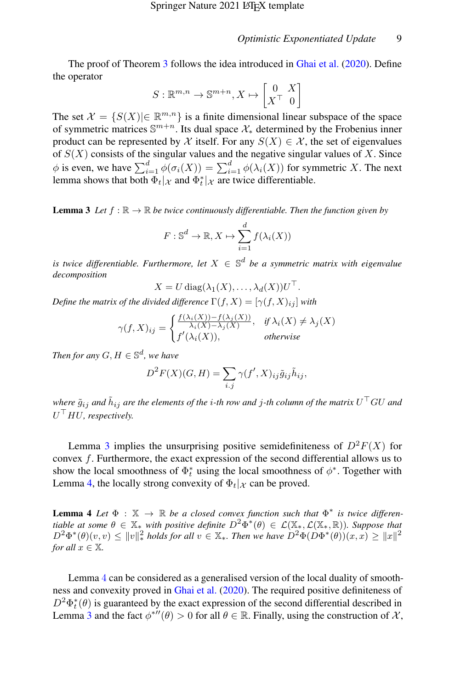The proof of Theorem [3](#page-7-1) follows the idea introduced in [Ghai et al.](#page-39-3) [\(2020\)](#page-39-3). Define the operator

$$
S: \mathbb{R}^{m,n} \to \mathbb{S}^{m+n}, X \mapsto \begin{bmatrix} 0 & X \\ X^{\top} & 0 \end{bmatrix}
$$

The set  $\mathcal{X} = \{S(X) | \in \mathbb{R}^{m,n}\}\$ is a finite dimensional linear subspace of the space of symmetric matrices  $\mathbb{S}^{m+n}$ . Its dual space  $\mathcal{X}_*$  determined by the Frobenius inner product can be represented by X itself. For any  $S(X) \in \mathcal{X}$ , the set of eigenvalues of  $S(X)$  consists of the singular values and the negative singular values of X. Since  $\phi$  is even, we have  $\sum_{i=1}^d \phi(\sigma_i(X)) = \sum_{i=1}^d \phi(\lambda_i(X))$  for symmetric X. The next lemma shows that both  $\Phi_t|\chi$  and  $\Phi_t^*|\chi$  are twice differentiable.

<span id="page-8-0"></span>**Lemma 3** Let  $f : \mathbb{R} \to \mathbb{R}$  be twice continuously differentiable. Then the function given by

$$
F: \mathbb{S}^d \to \mathbb{R}, X \mapsto \sum_{i=1}^d f(\lambda_i(X))
$$

is twice differentiable. Furthermore, let  $X \in \mathbb{S}^d$  be a symmetric matrix with eigenvalue *decomposition*

$$
X = U \operatorname{diag}(\lambda_1(X), \ldots, \lambda_d(X))U^{\top}.
$$

*Define the matrix of the divided difference*  $\Gamma(f, X) = [\gamma(f, X)_{ij}]$  *with* 

$$
\gamma(f, X)_{ij} = \begin{cases} \frac{f(\lambda_i(X)) - f(\lambda_j(X))}{\lambda_i(X) - \lambda_j(X)}, & \text{if } \lambda_i(X) \neq \lambda_j(X) \\ f'(\lambda_i(X)), & \text{otherwise} \end{cases}
$$

*Then for any*  $G, H \in \mathbb{S}^d$ , we have

$$
D^{2}F(X)(G,H) = \sum_{i,j} \gamma(f', X)_{ij} \tilde{g}_{ij} \tilde{h}_{ij},
$$

where  $\tilde{g}_{ij}$  and  $\tilde{h}_{ij}$  are the elements of the  $i$ -th row and  $j$ -th column of the matrix  $U^\top G U$  and  $U^{\top}HU$ , respectively.

Lemma [3](#page-8-0) implies the unsurprising positive semidefiniteness of  $D^2F(X)$  for convex  $f$ . Furthermore, the exact expression of the second differential allows us to show the local smoothness of  $\Phi_t^*$  using the local smoothness of  $\phi^*$ . Together with Lemma [4,](#page-8-1) the locally strong convexity of  $\Phi_t|\chi$  can be proved.

<span id="page-8-1"></span>**Lemma 4** Let  $\Phi$  :  $\mathbb{X} \to \mathbb{R}$  be a closed convex function such that  $\Phi^*$  is twice differen*tiable at some*  $\theta \in \mathbb{X}_{*}$  *with positive definite*  $D^2 \Phi^*(\theta) \in \mathcal{L}(\mathbb{X}_{*}, \mathcal{L}(\mathbb{X}_{*}, \mathbb{R}))$ *. Suppose that*  $D^2 \Phi^*(\theta)(v, v) \leq ||v||_*^2$  holds for all  $v \in \mathbb{X}_*$ . Then we have  $D^2 \Phi(D\Phi^*(\theta))(x, x) \geq ||x||^2$ *for all*  $x \in \mathbb{X}$ *.* 

Lemma [4](#page-8-1) can be considered as a generalised version of the local duality of smoothness and convexity proved in [Ghai et al.](#page-39-3) [\(2020\)](#page-39-3). The required positive definiteness of  $D^2 \Phi_t^* (\theta)$  is guaranteed by the exact expression of the second differential described in Lemma [3](#page-8-0) and the fact  $\phi^{*}(\theta) > 0$  for all  $\theta \in \mathbb{R}$ . Finally, using the construction of X,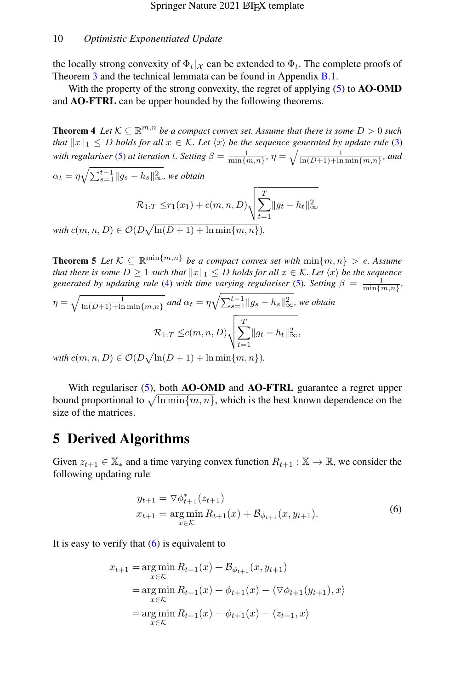the locally strong convexity of  $\Phi_t|\chi$  can be extended to  $\Phi_t$ . The complete proofs of Theorem [3](#page-7-1) and the technical lemmata can be found in Appendix [B.1.](#page-25-0)

With the property of the strong convexity, the regret of applying  $(5)$  to  $AO-OMD$ and AO-FTRL can be upper bounded by the following theorems.

<span id="page-9-1"></span>**Theorem 4** Let  $K \subseteq \mathbb{R}^{m,n}$  be a compact convex set. Assume that there is some  $D > 0$  such *that*  $||x||_1 \leq D$  *holds for all*  $x \in \mathcal{K}$ *. Let*  $\langle x \rangle$  *be the sequence generated by update rule* [\(3\)](#page-6-2) *with regulariser* [\(5\)](#page-7-2) *at iteration t. Setting*  $\beta = \frac{1}{\min\{m,n\}}$ ,  $\eta = \sqrt{\frac{1}{\ln(D+1)+\ln\min\{m,n\}}}$ , and  $\alpha_t = \eta \sqrt{\sum_{s=1}^{t-1} \|g_s - h_s\|_\infty^2}$ , we obtain  $\mathcal{R}_{1:T} \leq r_1(x_1) + c(m,n,D) \sqrt{\sum_{i=1}^{T} r_i(x_i)}$  $t=1$  $||g_t - h_t||_\infty^2$ 

 $\text{with } c(m, n, D) \in \mathcal{O}(D\sqrt{\ln(D+1) + \ln \min\{m, n\}}).$ 

<span id="page-9-2"></span>**Theorem 5** Let  $K \subseteq \mathbb{R}^{\min\{m,n\}}$  be a compact convex set with  $\min\{m,n\} > e$ . Assume *that there is some*  $D \geq 1$  *such that*  $||x||_1 \leq D$  *holds for all*  $x \in \mathcal{K}$ *. Let*  $\langle x \rangle$  *be the sequence generated by updating rule* [\(4\)](#page-7-0) *with time varying regulariser* [\(5\)](#page-7-2). Setting  $\beta = \frac{1}{\min\{m,n\}}$ ,

$$
\eta = \sqrt{\frac{1}{\ln(D+1) + \ln \min\{m, n\}}} \text{ and } \alpha_t = \eta \sqrt{\sum_{s=1}^{t-1} ||g_s - h_s||_{\infty}^2}, \text{ we obtain}
$$

$$
\mathcal{R}_{1:T} \leq c(m, n, D) \sqrt{\sum_{t=1}^{T} ||g_t - h_t||_{\infty}^2},
$$
with  $c(m, n, D) \in \mathcal{O}(D \sqrt{\ln(D+1) + \ln \min\{m, n\}})$ .

 $\text{with } c(m, n, D) \in \mathcal{O}(D\sqrt{\ln(D+1) + \ln \min\{m, n\}}).$ 

With regulariser [\(5\)](#page-7-2), both AO-OMD and AO-FTRL guarantee a regret upper bound proportional to  $\sqrt{\ln \min\{m, n\}}$ , which is the best known dependence on the size of the matrices.

# 5 Derived Algorithms

Given  $z_{t+1} \in \mathbb{X}_*$  and a time varying convex function  $R_{t+1} : \mathbb{X} \to \mathbb{R}$ , we consider the following updating rule

$$
y_{t+1} = \nabla \phi_{t+1}^*(z_{t+1})
$$
  
\n
$$
x_{t+1} = \underset{x \in \mathcal{K}}{\arg \min} R_{t+1}(x) + \mathcal{B}_{\phi_{t+1}}(x, y_{t+1}).
$$
\n(6)

<span id="page-9-0"></span>It is easy to verify that  $(6)$  is equivalent to

$$
x_{t+1} = \underset{x \in \mathcal{K}}{\arg \min} R_{t+1}(x) + \mathcal{B}_{\phi_{t+1}}(x, y_{t+1})
$$
  
= 
$$
\underset{x \in \mathcal{K}}{\arg \min} R_{t+1}(x) + \phi_{t+1}(x) - \langle \nabla \phi_{t+1}(y_{t+1}), x \rangle
$$
  
= 
$$
\underset{x \in \mathcal{K}}{\arg \min} R_{t+1}(x) + \phi_{t+1}(x) - \langle z_{t+1}, x \rangle
$$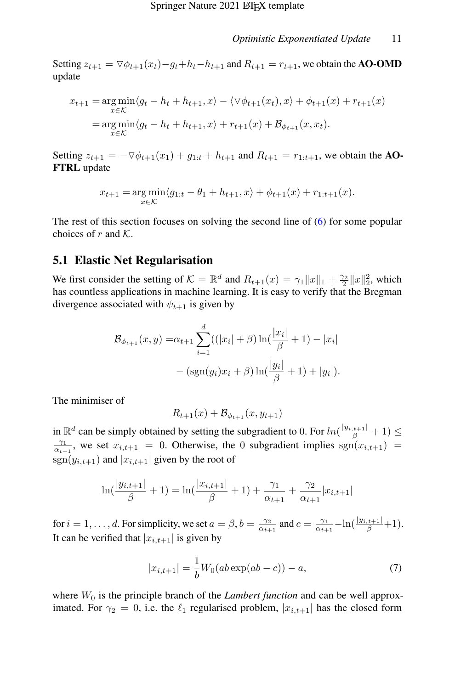Setting  $z_{t+1} = \nabla \phi_{t+1}(x_t) - g_t + h_t - h_{t+1}$  and  $R_{t+1} = r_{t+1}$ , we obtain the **AO-OMD** update

$$
x_{t+1} = \underset{x \in \mathcal{K}}{\arg \min} \langle g_t - h_t + h_{t+1}, x \rangle - \langle \nabla \phi_{t+1}(x_t), x \rangle + \phi_{t+1}(x) + r_{t+1}(x) \\
= \underset{x \in \mathcal{K}}{\arg \min} \langle g_t - h_t + h_{t+1}, x \rangle + r_{t+1}(x) + \mathcal{B}_{\phi_{t+1}}(x, x_t).
$$

Setting  $z_{t+1} = -\nabla \phi_{t+1}(x_1) + g_{1:t} + h_{t+1}$  and  $R_{t+1} = r_{1:t+1}$ , we obtain the AO-FTRL update

$$
x_{t+1} = \underset{x \in \mathcal{K}}{\arg \min} \langle g_{1:t} - \theta_1 + h_{t+1}, x \rangle + \phi_{t+1}(x) + r_{1:t+1}(x).
$$

The rest of this section focuses on solving the second line of [\(6\)](#page-9-0) for some popular choices of r and  $K$ .

### 5.1 Elastic Net Regularisation

We first consider the setting of  $\mathcal{K} = \mathbb{R}^d$  and  $R_{t+1}(x) = \gamma_1 ||x||_1 + \frac{\gamma_2}{2} ||x||_2^2$ , which has countless applications in machine learning. It is easy to verify that the Bregman divergence associated with  $\psi_{t+1}$  is given by

$$
\mathcal{B}_{\phi_{t+1}}(x, y) = \alpha_{t+1} \sum_{i=1}^d ((|x_i| + \beta) \ln(\frac{|x_i|}{\beta} + 1) - |x_i| - (\text{sgn}(y_i)x_i + \beta) \ln(\frac{|y_i|}{\beta} + 1) + |y_i|).
$$

The minimiser of

$$
R_{t+1}(x) + B_{\phi_{t+1}}(x, y_{t+1})
$$

in  $\mathbb{R}^d$  can be simply obtained by setting the subgradient to 0. For  $ln(\frac{|y_{i,t+1}|}{\beta} + 1) \le$  $\frac{\gamma_1}{\alpha_{t+1}}$ , we set  $x_{i,t+1} = 0$ . Otherwise, the 0 subgradient implies  $sgn(x_{i,t+1}) =$  $sgn(y_{i,t+1})$  and  $|x_{i,t+1}|$  given by the root of

$$
\ln\left(\frac{|y_{i,t+1}|}{\beta} + 1\right) = \ln\left(\frac{|x_{i,t+1}|}{\beta} + 1\right) + \frac{\gamma_1}{\alpha_{t+1}} + \frac{\gamma_2}{\alpha_{t+1}}|x_{i,t+1}|
$$

for  $i = 1, \ldots, d$ . For simplicity, we set  $a = \beta$ ,  $b = \frac{\gamma_2}{\alpha_{t+1}}$  and  $c = \frac{\gamma_1}{\alpha_{t+1}} - \ln\left(\frac{|y_{i,t+1}|}{\beta} + 1\right)$ . It can be verified that  $|x_{i,t+1}|$  is given by

$$
|x_{i,t+1}| = \frac{1}{b}W_0(ab\exp(ab-c)) - a,
$$
 (7)

where  $W_0$  is the principle branch of the *Lambert function* and can be well approximated. For  $\gamma_2 = 0$ , i.e. the  $\ell_1$  regularised problem,  $|x_{i,t+1}|$  has the closed form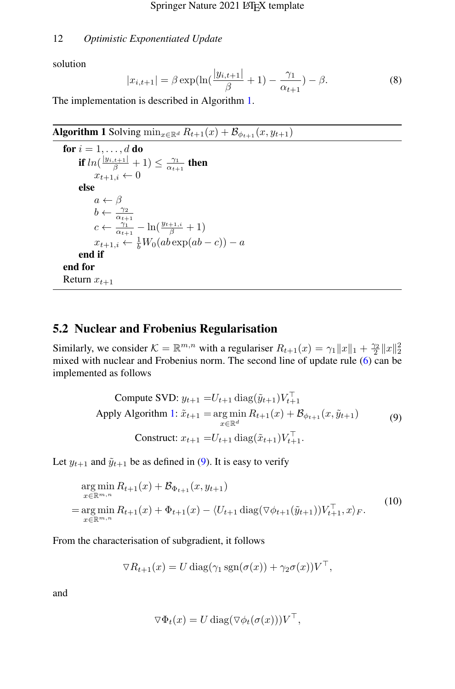solution

$$
|x_{i,t+1}| = \beta \exp(\ln(\frac{|y_{i,t+1}|}{\beta} + 1) - \frac{\gamma_1}{\alpha_{t+1}}) - \beta.
$$
 (8)

The implementation is described in Algorithm [1.](#page-11-0)

<span id="page-11-0"></span>Algorithm 1 Solving  $\min_{x \in \mathbb{R}^d} R_{t+1}(x) + \mathcal{B}_{\phi_{t+1}}(x, y_{t+1})$ 

```
for i = 1, \ldots, d do
        if ln(\frac{|y_{i,t+1}|}{\beta}+1)\leq \frac{\gamma_1}{\alpha_{t+1}} then
                x_{t+1,i} \leftarrow 0else
                a \leftarrow \betab \leftarrow \frac{\gamma_2}{\alpha_{t+1}}<br>
c \leftarrow \frac{\gamma_1}{\alpha_{t+1}} - \ln(\frac{y_{t+1,i}}{\beta} + 1)x_{t+1,i} \leftarrow \frac{1}{b}W_0(ab\exp(ab-c)) - aend if
end for
Return x_{t+1}
```
## 5.2 Nuclear and Frobenius Regularisation

Similarly, we consider  $K = \mathbb{R}^{m,n}$  with a regulariser  $R_{t+1}(x) = \gamma_1 ||x||_1 + \frac{\gamma_2}{2} ||x||_2^2$ mixed with nuclear and Frobenius norm. The second line of update rule  $(6)$  can be implemented as follows

<span id="page-11-1"></span>Compute SVD: 
$$
y_{t+1} = U_{t+1} \operatorname{diag}(\tilde{y}_{t+1}) V_{t+1}^{\top}
$$
  
Apply Algorithm 1:  $\tilde{x}_{t+1} = \operatorname*{arg\,min}_{x \in \mathbb{R}^d} R_{t+1}(x) + \mathcal{B}_{\phi_{t+1}}(x, \tilde{y}_{t+1})$  (9)  
Construct:  $x_{t+1} = U_{t+1} \operatorname{diag}(\tilde{x}_{t+1}) V_{t+1}^{\top}$ .

Let  $y_{t+1}$  and  $\tilde{y}_{t+1}$  be as defined in [\(9\)](#page-11-1). It is easy to verify

<span id="page-11-2"></span>
$$
\arg\min_{x \in \mathbb{R}^{m,n}} R_{t+1}(x) + \mathcal{B}_{\Phi_{t+1}}(x, y_{t+1})
$$
\n
$$
= \arg\min_{x \in \mathbb{R}^{m,n}} R_{t+1}(x) + \Phi_{t+1}(x) - \langle U_{t+1} \operatorname{diag}(\nabla \phi_{t+1}(\tilde{y}_{t+1}))V_{t+1}^{\top}, x \rangle_F. \tag{10}
$$

From the characterisation of subgradient, it follows

$$
\nabla R_{t+1}(x) = U \operatorname{diag}(\gamma_1 \operatorname{sgn}(\sigma(x)) + \gamma_2 \sigma(x)) V^{\top},
$$

and

$$
\nabla \Phi_t(x) = U \operatorname{diag}(\nabla \phi_t(\sigma(x))) V^{\top},
$$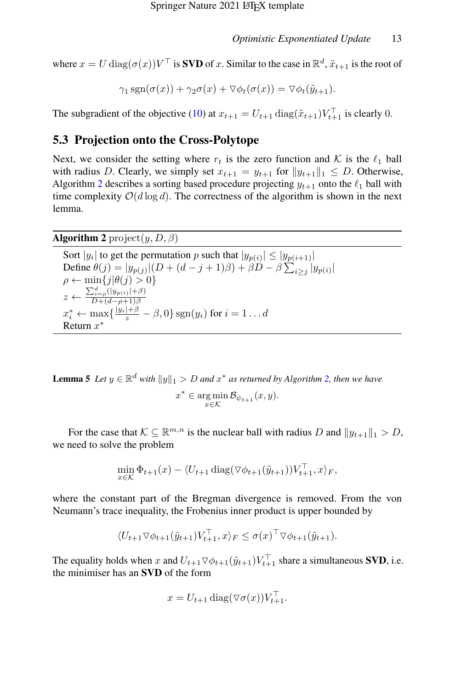where  $x = U \text{ diag}(\sigma(x)) V^{\top}$  is **SVD** of x. Similar to the case in  $\mathbb{R}^d$ ,  $\tilde{x}_{t+1}$  is the root of

 $\gamma_1 \text{sgn}(\sigma(x)) + \gamma_2 \sigma(x) + \nabla \phi_t(\sigma(x)) = \nabla \phi_t(\tilde{\eta}_{t+1}).$ 

The subgradient of the objective [\(10\)](#page-11-2) at  $x_{t+1} = U_{t+1} \text{ diag}(\tilde{x}_{t+1}) V_{t+1}^{\top}$  is clearly 0.

## 5.3 Projection onto the Cross-Polytope

Next, we consider the setting where  $r_t$  is the zero function and K is the  $\ell_1$  ball with radius D. Clearly, we simply set  $x_{t+1} = y_{t+1}$  for  $||y_{t+1}||_1 \leq D$ . Otherwise, Algorithm [2](#page-12-0) describes a sorting based procedure projecting  $y_{t+1}$  onto the  $\ell_1$  ball with time complexity  $O(d \log d)$ . The correctness of the algorithm is shown in the next lemma.

## <span id="page-12-0"></span>**Algorithm 2** project $(y, D, \beta)$

Sort | $y_i$ | to get the permutation p such that  $|y_{p(i)}| \le |y_{p(i+1)}|$ Define  $\theta(j) = |y_{p(j)}| (D + (d - j + 1)\beta) + \beta D - \beta \sum_{i \ge j} |y_{p(i)}|$  $\rho \leftarrow \min\{j|\theta(j) > 0\}$  $z \leftarrow \frac{\sum_{i=\rho}^{d} (|y_{p(i)}| + \beta)}{D + (d - a + 1)\beta}$  $D+(d-\rho+1)\beta$  $x_i^* \leftarrow \max\{\frac{|y_i| + \beta}{z} - \beta, 0\} \operatorname{sgn}(y_i)$  for  $i = 1 \dots d$ Return  $x^*$ 

<span id="page-12-1"></span>**Lemma 5** Let  $y \in \mathbb{R}^d$  with  $||y||_1 > D$  and  $x^*$  as returned by Algorithm [2,](#page-12-0) then we have  $x^* \in \argmin_{x \in \mathcal{K}} \mathcal{B}_{\psi_{t+1}}(x, y).$ 

For the case that  $\mathcal{K} \subseteq \mathbb{R}^{m,n}$  is the nuclear ball with radius D and  $||y_{t+1}||_1 > D$ , we need to solve the problem

$$
\min_{x \in \mathcal{K}} \Phi_{t+1}(x) - \langle U_{t+1} \operatorname{diag}(\nabla \phi_{t+1}(\tilde{y}_{t+1}))V_{t+1}^{\top}, x \rangle_F,
$$

where the constant part of the Bregman divergence is removed. From the von Neumann's trace inequality, the Frobenius inner product is upper bounded by

$$
\langle U_{t+1} \nabla \phi_{t+1}(\tilde{y}_{t+1}) V_{t+1}^{\top}, x \rangle_F \leq \sigma(x)^{\top} \nabla \phi_{t+1}(\tilde{y}_{t+1}).
$$

The equality holds when x and  $U_{t+1} \nabla \phi_{t+1}(\tilde{y}_{t+1}) V_{t+1}^{\top}$  share a simultaneous **SVD**, i.e. the minimiser has an SVD of the form

$$
x = U_{t+1} \operatorname{diag}(\nabla \sigma(x)) V_{t+1}^{\top}.
$$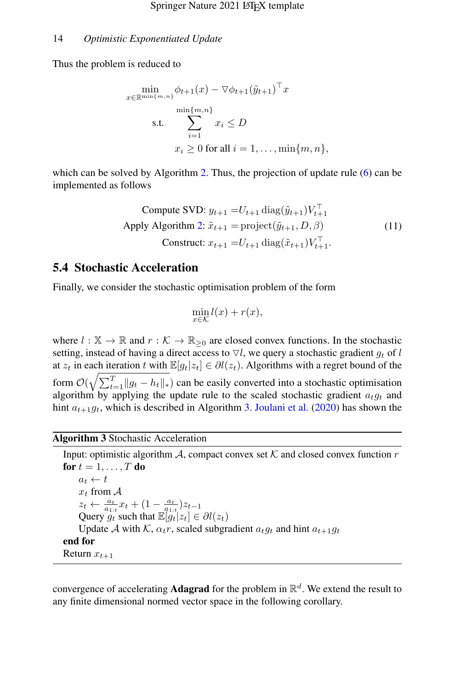Thus the problem is reduced to

$$
\min_{x \in \mathbb{R}^{\min\{m,n\}}} \phi_{t+1}(x) - \nabla \phi_{t+1}(\tilde{y}_{t+1})^\top x
$$
\n
$$
\text{s.t.} \quad \sum_{i=1}^{\min\{m,n\}} x_i \le D
$$
\n
$$
x_i \ge 0 \text{ for all } i = 1, \dots, \min\{m, n\},
$$

which can be solved by Algorithm [2.](#page-12-0) Thus, the projection of update rule [\(6\)](#page-9-0) can be implemented as follows

Compute SVD: 
$$
y_{t+1} = U_{t+1} \operatorname{diag}(\tilde{y}_{t+1}) V_{t+1}^{\top}
$$
  
Apply Algorithm 2:  $\tilde{x}_{t+1} = \text{project}(\tilde{y}_{t+1}, D, \beta)$  (11)  
Construct:  $x_{t+1} = U_{t+1} \operatorname{diag}(\tilde{x}_{t+1}) V_{t+1}^{\top}$ .

### 5.4 Stochastic Acceleration

Finally, we consider the stochastic optimisation problem of the form

$$
\min_{x \in \mathcal{K}} l(x) + r(x),
$$

where  $l : \mathbb{X} \to \mathbb{R}$  and  $r : \mathcal{K} \to \mathbb{R}_{\geq 0}$  are closed convex functions. In the stochastic setting, instead of having a direct access to  $\nabla l$ , we query a stochastic gradient  $g_t$  of l at  $z_t$  in each iteration t with  $\mathbb{E}[g_t|z_t] \in \partial l(z_t)$ . Algorithms with a regret bound of the form  $\mathcal{O}(\sqrt{\sum_{t=1}^{T}||g_t - h_t||_*)}$  can be easily converted into a stochastic optimisation algorithm by applying the update rule to the scaled stochastic gradient  $a_t g_t$  and hint  $a_{t+1}g_t$ , which is described in Algorithm [3.](#page-13-0) [Joulani et al.](#page-40-1) [\(2020\)](#page-40-1) has shown the

### <span id="page-13-0"></span>Algorithm 3 Stochastic Acceleration

```
Input: optimistic algorithm A, compact convex set K and closed convex function rfor t = 1, \ldots, T do
    a_t \leftarrow tx_t from \mathcal Az_t \leftarrow \frac{a_t}{a_{1:t}} x_t + (1 - \frac{a_t}{a_{1:t}}) z_{t-1}Query g_t such that \mathbb{E}[g_t|z_t] \in \partial l(z_t)Update A with K, \alpha_t r, scaled subgradient a_t g_t and hint a_{t+1} g_tend for
Return x_{t+1}
```
convergence of accelerating **Adagrad** for the problem in  $\mathbb{R}^d$ . We extend the result to any finite dimensional normed vector space in the following corollary.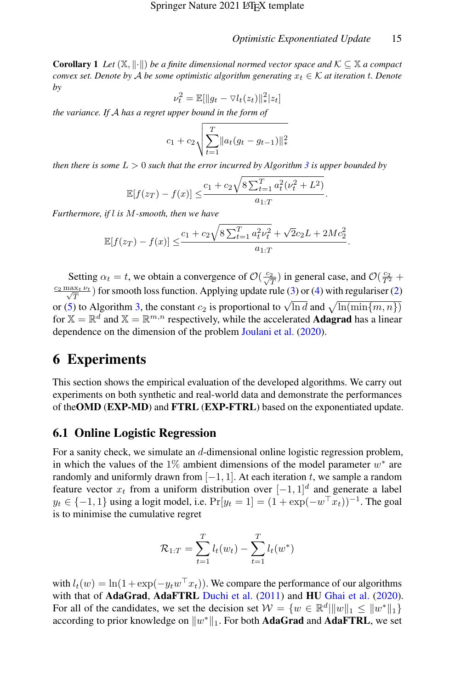<span id="page-14-1"></span>**Corollary 1** *Let*  $(X, \|\cdot\|)$  *be a finite dimensional normed vector space and*  $K \subseteq X$  *a compact convex set. Denote by* A *be some optimistic algorithm generating*  $x_t \in \mathcal{K}$  *at iteration t. Denote by*

$$
\nu_t^2 = \mathbb{E}[\|g_t - \nabla l_t(z_t)\|_*^2 |z_t]
$$

*the variance. If* A *has a regret upper bound in the form of*

$$
c_1 + c_2 \sqrt{\sum_{t=1}^{T} ||a_t(g_t - g_{t-1})||_*^2}
$$

*then there is some*  $L > 0$  *such that the error incurred by Algorithm [3](#page-13-0) is upper bounded by* 

$$
\mathbb{E}[f(z_T) - f(x)] \leq \frac{c_1 + c_2 \sqrt{8 \sum_{t=1}^T a_t^2 (\nu_t^2 + L^2)}}{a_{1:T}}.
$$

*Furthermore, if* l *is* M*-smooth, then we have*

$$
\mathbb{E}[f(z_T) - f(x)] \le \frac{c_1 + c_2 \sqrt{8 \sum_{t=1}^T a_t^2 \nu_t^2} + \sqrt{2}c_2 L + 2Mc_2^2}{a_{1:T}}.
$$

Setting  $\alpha_t = t$ , we obtain a convergence of  $\mathcal{O}(\frac{c_2}{\sqrt{T}})$  in general case, and  $\mathcal{O}(\frac{c_2}{T^2} +$  $\frac{c_2 \max_t \nu_t}{\sqrt{T}}$ ) for smooth loss function. Applying update rule [\(3\)](#page-6-2) or [\(4\)](#page-7-0) with regulariser [\(2\)](#page-6-1) or [\(5\)](#page-7-2) to Algorithm [3,](#page-13-0) the constant  $c_2$  is proportional to  $\sqrt{\ln d}$  and  $\sqrt{\ln(\min\{m, n\})}$ for  $\mathbb{X} = \mathbb{R}^d$  and  $\mathbb{X} = \mathbb{R}^{m,n}$  respectively, while the accelerated **Adagrad** has a linear dependence on the dimension of the problem [Joulani et al.](#page-40-1) [\(2020\)](#page-40-1).

# 6 Experiments

This section shows the empirical evaluation of the developed algorithms. We carry out experiments on both synthetic and real-world data and demonstrate the performances of theOMD (EXP-MD) and FTRL (EXP-FTRL) based on the exponentiated update.

## <span id="page-14-0"></span>6.1 Online Logistic Regression

For a sanity check, we simulate an d-dimensional online logistic regression problem, in which the values of the 1% ambient dimensions of the model parameter  $w^*$  are randomly and uniformly drawn from  $[-1, 1]$ . At each iteration t, we sample a random feature vector  $x_t$  from a uniform distribution over  $[-1, 1]^d$  and generate a label  $y_t \in \{-1, 1\}$  using a logit model, i.e.  $Pr[y_t = 1] = (1 + exp(-w^\top x_t))^{-1}$ . The goal is to minimise the cumulative regret

$$
\mathcal{R}_{1:T} = \sum_{t=1}^{T} l_t(w_t) - \sum_{t=1}^{T} l_t(w^*)
$$

with  $l_t(w) = \ln(1 + \exp(-y_t w^\top x_t))$ . We compare the performance of our algorithms with that of AdaGrad, AdaFTRL [Duchi et al.](#page-39-1) [\(2011\)](#page-39-1) and HU [Ghai et al.](#page-39-3) [\(2020\)](#page-39-3). For all of the candidates, we set the decision set  $W = \{w \in \mathbb{R}^d | ||w||_1 \leq ||w^*||_1\}$ according to prior knowledge on  $||w^*||_1$ . For both AdaGrad and AdaFTRL, we set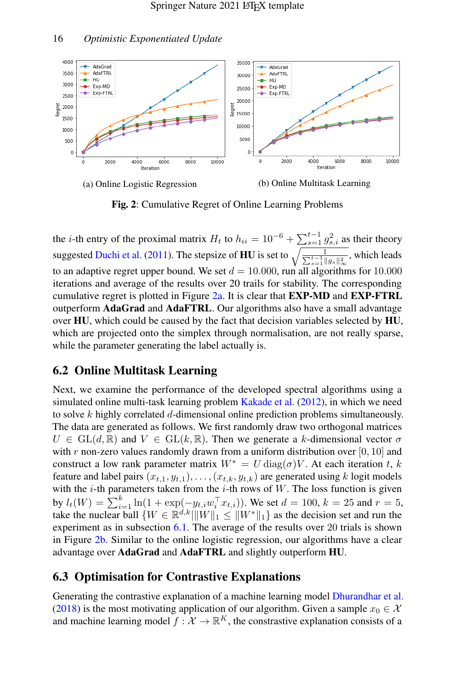<span id="page-15-0"></span>

Fig. 2: Cumulative Regret of Online Learning Problems

the *i*-th entry of the proximal matrix  $H_t$  to  $h_{ii} = 10^{-6} + \sum_{s=1}^{t-1} g_{s,i}^2$  as their theory suggested [Duchi et al.](#page-39-1) [\(2011\)](#page-39-1). The stepsize of **HU** is set to  $\sqrt{\frac{1}{\sum_{i=1}^{n} n_i}}$  $\frac{1}{\sum_{s=1}^{t-1} \|g_s\|_\infty^2}$ , which leads to an adaptive regret upper bound. We set  $d = 10,000$ , run all algorithms for 10.000 iterations and average of the results over 20 trails for stability. The corresponding cumulative regret is plotted in Figure [2a.](#page-15-0) It is clear that  $EXP-MD$  and  $EXP-FTRL$ outperform AdaGrad and AdaFTRL. Our algorithms also have a small advantage over HU, which could be caused by the fact that decision variables selected by HU, which are projected onto the simplex through normalisation, are not really sparse, while the parameter generating the label actually is.

## 6.2 Online Multitask Learning

Next, we examine the performance of the developed spectral algorithms using a simulated online multi-task learning problem [Kakade et al.](#page-40-3) [\(2012\)](#page-40-3), in which we need to solve  $k$  highly correlated  $d$ -dimensional online prediction problems simultaneously. The data are generated as follows. We first randomly draw two orthogonal matrices  $U \in GL(d, \mathbb{R})$  and  $V \in GL(k, \mathbb{R})$ . Then we generate a k-dimensional vector  $\sigma$ with r non-zero values randomly drawn from a uniform distribution over  $[0, 10]$  and construct a low rank parameter matrix  $W^* = U \text{diag}(\sigma) V$ . At each iteration t, k feature and label pairs  $(x_{t,1}, y_{t,1}), \ldots, (x_{t,k}, y_{t,k})$  are generated using k logit models with the  $i$ -th parameters taken from the  $i$ -th rows of W. The loss function is given by  $l_t(W) = \sum_{i=1}^k \ln(1 + \exp(-y_{t,i}w_i^{\top} x_{t,i}))$ . We set  $d = 100$ ,  $k = 25$  and  $r = 5$ , take the nuclear ball  $\{W \in \mathbb{R}^{d,k} | ||W||_1 \le ||W^*||_1\}$  as the decision set and run the experiment as in subsection [6.1.](#page-14-0) The average of the results over 20 trials is shown in Figure [2b.](#page-15-0) Similar to the online logistic regression, our algorithms have a clear advantage over AdaGrad and AdaFTRL and slightly outperform HU.

## 6.3 Optimisation for Contrastive Explanations

Generating the contrastive explanation of a machine learning model [Dhurandhar et al.](#page-39-0) [\(2018\)](#page-39-0) is the most motivating application of our algorithm. Given a sample  $x_0 \in \mathcal{X}$ and machine learning model  $f : \mathcal{X} \to \mathbb{R}^K$ , the constrastive explanation consists of a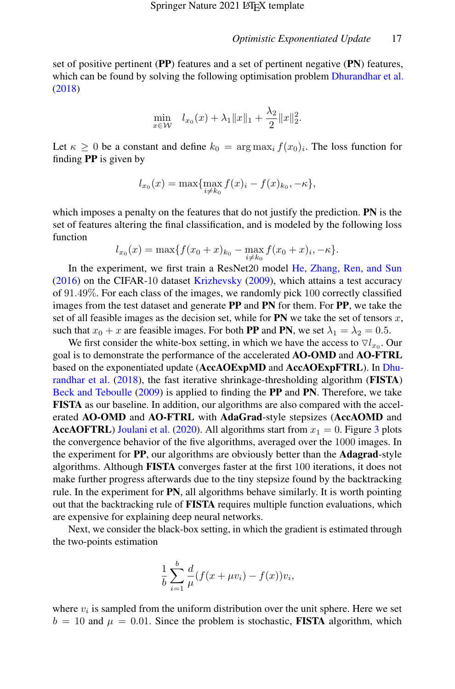set of positive pertinent (PP) features and a set of pertinent negative (PN) features, which can be found by solving the following optimisation problem [Dhurandhar et al.](#page-39-0) [\(2018\)](#page-39-0)

$$
\min_{x \in \mathcal{W}} \quad l_{x_0}(x) + \lambda_1 \|x\|_1 + \frac{\lambda_2}{2} \|x\|_2^2.
$$

Let  $\kappa \geq 0$  be a constant and define  $k_0 = \arg \max_i f(x_0)_i$ . The loss function for finding PP is given by

$$
l_{x_0}(x) = \max\{\max_{i \neq k_0} f(x)_i - f(x)_{k_0}, -\kappa\},\
$$

which imposes a penalty on the features that do not justify the prediction. **PN** is the set of features altering the final classification, and is modeled by the following loss function

$$
l_{x_0}(x) = \max\{f(x_0+x)_{k_0} - \max_{i \neq k_0} f(x_0+x)_{i}, -\kappa\}.
$$

In the experiment, we first train a ResNet20 model [He, Zhang, Ren, and Sun](#page-39-11)  $(2016)$  on the CIFAR-10 dataset [Krizhevsky](#page-40-9)  $(2009)$ , which attains a test accuracy of 91.49%. For each class of the images, we randomly pick 100 correctly classified images from the test dataset and generate PP and PN for them. For PP, we take the set of all feasible images as the decision set, while for  $PN$  we take the set of tensors  $x$ , such that  $x_0 + x$  are feasible images. For both PP and PN, we set  $\lambda_1 = \lambda_2 = 0.5$ .

We first consider the white-box setting, in which we have the access to  $\nabla l_{x_0}$ . Our goal is to demonstrate the performance of the accelerated AO-OMD and AO-FTRL based on the exponentiated update (AccAOExpMD and AccAOExpFTRL). In [Dhu](#page-39-0)[randhar et al.](#page-39-0) [\(2018\)](#page-39-0), the fast iterative shrinkage-thresholding algorithm (FISTA) [Beck and Teboulle](#page-39-8) [\(2009\)](#page-39-8) is applied to finding the PP and PN. Therefore, we take FISTA as our baseline. In addition, our algorithms are also compared with the accelerated AO-OMD and AO-FTRL with AdaGrad-style stepsizes (AccAOMD and **AccAOFTRL**) [Joulani et al.](#page-40-1) [\(2020\)](#page-40-1). All algorithms start from  $x_1 = 0$ . Figure [3](#page-17-0) plots the convergence behavior of the five algorithms, averaged over the 1000 images. In the experiment for PP, our algorithms are obviously better than the Adagrad-style algorithms. Although FISTA converges faster at the first 100 iterations, it does not make further progress afterwards due to the tiny stepsize found by the backtracking rule. In the experiment for PN, all algorithms behave similarly. It is worth pointing out that the backtracking rule of FISTA requires multiple function evaluations, which are expensive for explaining deep neural networks.

Next, we consider the black-box setting, in which the gradient is estimated through the two-points estimation

$$
\frac{1}{b} \sum_{i=1}^{b} \frac{d}{\mu} (f(x + \mu v_i) - f(x)) v_i,
$$

where  $v_i$  is sampled from the uniform distribution over the unit sphere. Here we set  $b = 10$  and  $\mu = 0.01$ . Since the problem is stochastic, **FISTA** algorithm, which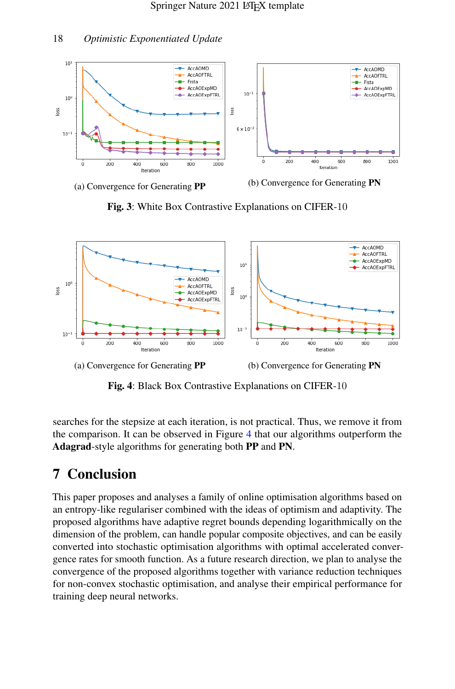

<span id="page-17-0"></span>

(a) Convergence for Generating PP (b) Convergence for Generating PN

Fig. 3: White Box Contrastive Explanations on CIFER-10

<span id="page-17-1"></span>



Fig. 4: Black Box Contrastive Explanations on CIFER-10

searches for the stepsize at each iteration, is not practical. Thus, we remove it from the comparison. It can be observed in Figure [4](#page-17-1) that our algorithms outperform the Adagrad-style algorithms for generating both PP and PN.

# 7 Conclusion

This paper proposes and analyses a family of online optimisation algorithms based on an entropy-like regulariser combined with the ideas of optimism and adaptivity. The proposed algorithms have adaptive regret bounds depending logarithmically on the dimension of the problem, can handle popular composite objectives, and can be easily converted into stochastic optimisation algorithms with optimal accelerated convergence rates for smooth function. As a future research direction, we plan to analyse the convergence of the proposed algorithms together with variance reduction techniques for non-convex stochastic optimisation, and analyse their empirical performance for training deep neural networks.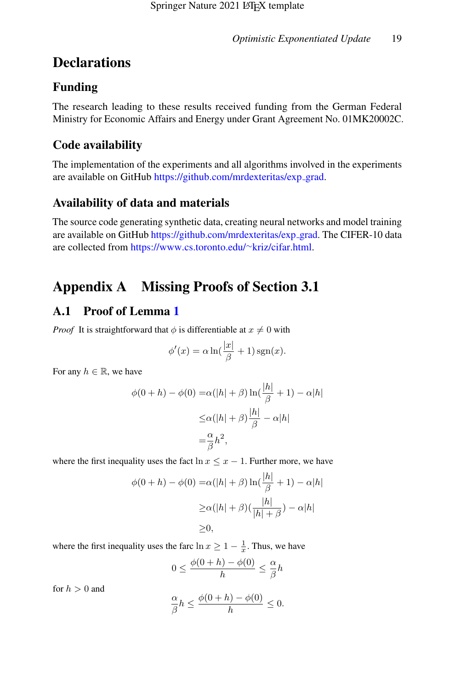# **Declarations**

# Funding

The research leading to these results received funding from the German Federal Ministry for Economic Affairs and Energy under Grant Agreement No. 01MK20002C.

# Code availability

The implementation of the experiments and all algorithms involved in the experiments are available on GitHub [https://github.com/mrdexteritas/exp](https://github.com/mrdexteritas/exp_grad)\_grad.

# Availability of data and materials

The source code generating synthetic data, creating neural networks and model training are available on GitHub [https://github.com/mrdexteritas/exp](https://github.com/mrdexteritas/exp_grad)\_grad. The CIFER-10 data are collected from [https://www.cs.toronto.edu/](https://www.cs.toronto.edu/~kriz/cifar.html)∼kriz/cifar.html.

# Appendix A Missing Proofs of Section 3.1

# A.1 Proof of Lemma [1](#page-5-0)

*Proof* It is straightforward that  $\phi$  is differentiable at  $x \neq 0$  with

$$
\phi'(x) = \alpha \ln(\frac{|x|}{\beta} + 1) \operatorname{sgn}(x).
$$

For any  $h \in \mathbb{R}$ , we have

$$
\phi(0+h) - \phi(0) = \alpha(|h| + \beta) \ln\left(\frac{|h|}{\beta} + 1\right) - \alpha|h|
$$
  

$$
\leq \alpha(|h| + \beta) \frac{|h|}{\beta} - \alpha|h|
$$
  

$$
= \frac{\alpha}{\beta}h^2,
$$

where the first inequality uses the fact  $\ln x \leq x - 1$ . Further more, we have

$$
\phi(0+h) - \phi(0) = \alpha(|h| + \beta) \ln\left(\frac{|h|}{\beta} + 1\right) - \alpha|h|
$$

$$
\geq \alpha(|h| + \beta)\left(\frac{|h|}{|h| + \beta}\right) - \alpha|h|
$$

$$
\geq 0,
$$

where the first inequality uses the farc  $\ln x \ge 1 - \frac{1}{x}$ . Thus, we have

$$
0 \leq \frac{\phi(0+h)-\phi(0)}{h} \leq \frac{\alpha}{\beta}h
$$

for  $h > 0$  and

$$
\frac{\alpha}{\beta}h\leq \frac{\phi(0+h)-\phi(0)}{h}\leq 0.
$$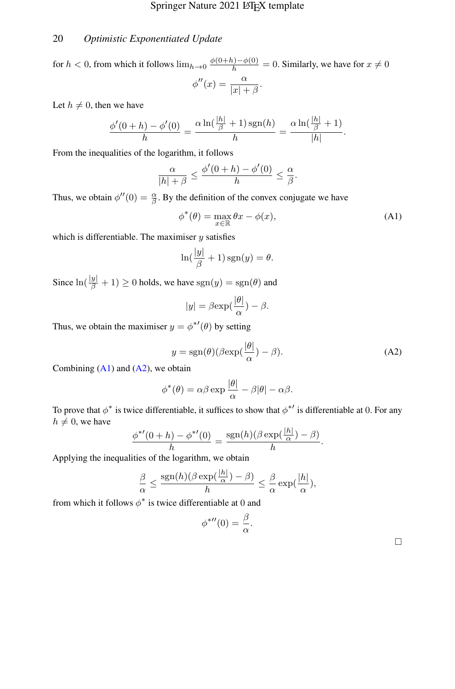for  $h < 0$ , from which it follows  $\lim_{h \to 0} \frac{\phi(0+h) - \phi(0)}{h} = 0$ . Similarly, we have for  $x \neq 0$  $\phi''(x) = \frac{\alpha}{|x| + \beta}.$ 

Let  $h \neq 0$ , then we have

$$
\frac{\phi'(0+h)-\phi'(0)}{h}=\frac{\alpha\ln(\frac{|h|}{\beta}+1)\operatorname{sgn}(h)}{h}=\frac{\alpha\ln(\frac{|h|}{\beta}+1)}{|h|}.
$$

From the inequalities of the logarithm, it follows

$$
\frac{\alpha}{|h|+\beta} \le \frac{\phi'(0+h)-\phi'(0)}{h} \le \frac{\alpha}{\beta}.
$$

Thus, we obtain  $\phi''(0) = \frac{\alpha}{\beta}$ . By the definition of the convex conjugate we have

<span id="page-19-0"></span>
$$
\phi^*(\theta) = \max_{x \in \mathbb{R}} \theta x - \phi(x),\tag{A1}
$$

which is differentiable. The maximiser  $y$  satisfies

$$
\ln(\frac{|y|}{\beta} + 1)\operatorname{sgn}(y) = \theta.
$$

Since  $\ln(\frac{|y|}{\beta} + 1) \ge 0$  holds, we have  $sgn(y) = sgn(\theta)$  and

$$
|y| = \beta \exp(\frac{|\theta|}{\alpha}) - \beta.
$$

Thus, we obtain the maximiser  $y = \phi^{*'}(\theta)$  by setting

<span id="page-19-1"></span>
$$
y = \text{sgn}(\theta) (\beta \text{exp}(\frac{|\theta|}{\alpha}) - \beta). \tag{A2}
$$

Combining  $(A1)$  and  $(A2)$ , we obtain

$$
\phi^*(\theta) = \alpha \beta \exp \frac{|\theta|}{\alpha} - \beta |\theta| - \alpha \beta.
$$

To prove that  $\phi^*$  is twice differentiable, it suffices to show that  $\phi^{*'}$  is differentiable at 0. For any  $h \neq 0$ , we have

$$
\frac{\phi^{*'}(0+h)-\phi^{*'}(0)}{h}=\frac{\text{sgn}(h)(\beta \exp(\frac{|h|}{\alpha})-\beta)}{h}.
$$

Applying the inequalities of the logarithm, we obtain

$$
\frac{\beta}{\alpha} \le \frac{\text{sgn}(h)(\beta \exp(\frac{|h|}{\alpha}) - \beta)}{h} \le \frac{\beta}{\alpha} \exp(\frac{|h|}{\alpha}),
$$

from which it follows  $\phi^*$  is twice differentiable at 0 and

$$
\phi^{*H}(0) = \frac{\beta}{\alpha}.
$$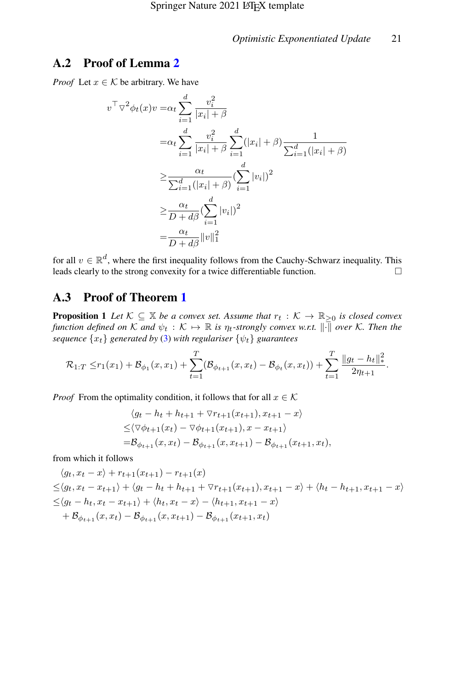## A.2 Proof of Lemma [2](#page-6-3)

*Proof* Let  $x \in \mathcal{K}$  be arbitrary. We have

$$
v^{\top} \nabla^2 \phi_t(x) v = \alpha_t \sum_{i=1}^d \frac{v_i^2}{|x_i| + \beta}
$$
  
\n
$$
= \alpha_t \sum_{i=1}^d \frac{v_i^2}{|x_i| + \beta} \sum_{i=1}^d (|x_i| + \beta) \frac{1}{\sum_{i=1}^d (|x_i| + \beta)}
$$
  
\n
$$
\geq \frac{\alpha_t}{\sum_{i=1}^d (|x_i| + \beta)} (\sum_{i=1}^d |v_i|)^2
$$
  
\n
$$
\geq \frac{\alpha_t}{D + d\beta} (\sum_{i=1}^d |v_i|)^2
$$
  
\n
$$
= \frac{\alpha_t}{D + d\beta} ||v||_1^2
$$

for all  $v \in \mathbb{R}^d$ , where the first inequality follows from the Cauchy-Schwarz inequality. This leads clearly to the strong convexity for a twice differentiable function.  $\square$ 

## A.3 Proof of Theorem [1](#page-7-3)

<span id="page-20-0"></span>**Proposition 1** Let  $K \subseteq \mathbb{X}$  be a convex set. Assume that  $r_t : K \to \mathbb{R}_{\geq 0}$  is closed convex *function defined on* K *and*  $\psi_t : \mathcal{K} \mapsto \mathbb{R}$  *is*  $\eta_t$ *-strongly convex w.r.t.*  $\|\cdot\|$  *over* K. Then the *sequence*  $\{x_t\}$  *generated by* [\(3\)](#page-6-2) *with regulariser*  $\{\psi_t\}$  *guarantees* 

$$
\mathcal{R}_{1:T} \le r_1(x_1) + \mathcal{B}_{\phi_1}(x, x_1) + \sum_{t=1}^T (\mathcal{B}_{\phi_{t+1}}(x, x_t) - \mathcal{B}_{\phi_t}(x, x_t)) + \sum_{t=1}^T \frac{\|g_t - h_t\|_*^2}{2\eta_{t+1}}.
$$

*Proof* From the optimality condition, it follows that for all  $x \in \mathcal{K}$ 

$$
\langle g_t - h_t + h_{t+1} + \nabla r_{t+1}(x_{t+1}), x_{t+1} - x \rangle
$$
  
\n
$$
\leq \langle \nabla \phi_{t+1}(x_t) - \nabla \phi_{t+1}(x_{t+1}), x - x_{t+1} \rangle
$$
  
\n
$$
= B_{\phi_{t+1}}(x, x_t) - B_{\phi_{t+1}}(x, x_{t+1}) - B_{\phi_{t+1}}(x_{t+1}, x_t),
$$

from which it follows

$$
\langle g_t, x_t - x \rangle + r_{t+1}(x_{t+1}) - r_{t+1}(x)
$$
  
\n
$$
\leq \langle g_t, x_t - x_{t+1} \rangle + \langle g_t - h_t + h_{t+1} + \nabla r_{t+1}(x_{t+1}), x_{t+1} - x \rangle + \langle h_t - h_{t+1}, x_{t+1} - x \rangle
$$
  
\n
$$
\leq \langle g_t - h_t, x_t - x_{t+1} \rangle + \langle h_t, x_t - x \rangle - \langle h_{t+1}, x_{t+1} - x \rangle
$$
  
\n
$$
+ \mathcal{B}_{\phi_{t+1}}(x, x_t) - \mathcal{B}_{\phi_{t+1}}(x, x_{t+1}) - \mathcal{B}_{\phi_{t+1}}(x_{t+1}, x_t)
$$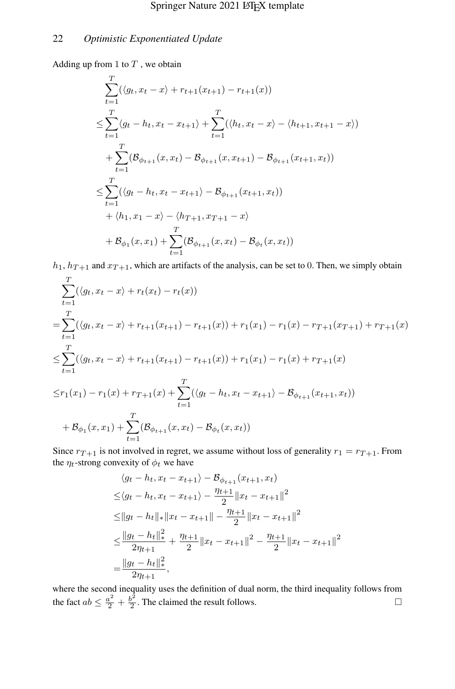Adding up from 1 to  $T$ , we obtain

$$
\sum_{t=1}^{T} (\langle g_t, x_t - x \rangle + r_{t+1}(x_{t+1}) - r_{t+1}(x))
$$
\n
$$
\leq \sum_{t=1}^{T} \langle g_t - h_t, x_t - x_{t+1} \rangle + \sum_{t=1}^{T} (\langle h_t, x_t - x \rangle - \langle h_{t+1}, x_{t+1} - x \rangle)
$$
\n
$$
+ \sum_{t=1}^{T} (\mathcal{B}_{\phi_{t+1}}(x, x_t) - \mathcal{B}_{\phi_{t+1}}(x, x_{t+1}) - \mathcal{B}_{\phi_{t+1}}(x_{t+1}, x_t))
$$
\n
$$
\leq \sum_{t=1}^{T} (\langle g_t - h_t, x_t - x_{t+1} \rangle - \mathcal{B}_{\phi_{t+1}}(x_{t+1}, x_t))
$$
\n
$$
+ \langle h_1, x_1 - x \rangle - \langle h_{T+1}, x_{T+1} - x \rangle
$$
\n
$$
+ \mathcal{B}_{\phi_1}(x, x_1) + \sum_{t=1}^{T} (\mathcal{B}_{\phi_{t+1}}(x, x_t) - \mathcal{B}_{\phi_t}(x, x_t))
$$

 $h_1$ ,  $h_{T+1}$  and  $x_{T+1}$ , which are artifacts of the analysis, can be set to 0. Then, we simply obtain

$$
\sum_{t=1}^{T} (\langle g_t, x_t - x \rangle + r_t(x_t) - r_t(x))
$$
\n
$$
= \sum_{t=1}^{T} (\langle g_t, x_t - x \rangle + r_{t+1}(x_{t+1}) - r_{t+1}(x) \rangle + r_1(x_1) - r_1(x) - r_{T+1}(x_{T+1}) + r_{T+1}(x)
$$
\n
$$
\leq \sum_{t=1}^{T} (\langle g_t, x_t - x \rangle + r_{t+1}(x_{t+1}) - r_{t+1}(x) \rangle + r_1(x_1) - r_1(x) + r_{T+1}(x)
$$
\n
$$
\leq r_1(x_1) - r_1(x) + r_{T+1}(x) + \sum_{t=1}^{T} (\langle g_t - h_t, x_t - x_{t+1} \rangle - B_{\phi_{t+1}}(x_{t+1}, x_t))
$$
\n
$$
+ B_{\phi_1}(x, x_1) + \sum_{t=1}^{T} (B_{\phi_{t+1}}(x, x_t) - B_{\phi_t}(x, x_t))
$$

Since  $r_{T+1}$  is not involved in regret, we assume without loss of generality  $r_1 = r_{T+1}$ . From the  $\eta_t$ -strong convexity of  $\phi_t$  we have

$$
\langle g_t - h_t, x_t - x_{t+1} \rangle - \mathcal{B}_{\phi_{t+1}}(x_{t+1}, x_t)
$$
  
\n
$$
\leq \langle g_t - h_t, x_t - x_{t+1} \rangle - \frac{\eta_{t+1}}{2} ||x_t - x_{t+1}||^2
$$
  
\n
$$
\leq ||g_t - h_t||_* ||x_t - x_{t+1}|| - \frac{\eta_{t+1}}{2} ||x_t - x_{t+1}||^2
$$
  
\n
$$
\leq \frac{||g_t - h_t||_*^2}{2\eta_{t+1}} + \frac{\eta_{t+1}}{2} ||x_t - x_{t+1}||^2 - \frac{\eta_{t+1}}{2} ||x_t - x_{t+1}||^2
$$
  
\n
$$
= \frac{||g_t - h_t||_*^2}{2\eta_{t+1}},
$$

where the second inequality uses the definition of dual norm, the third inequality follows from the fact  $ab \leq \frac{a^2}{2} + \frac{b^2}{2}$  $\frac{b^2}{2}$ . The claimed the result follows.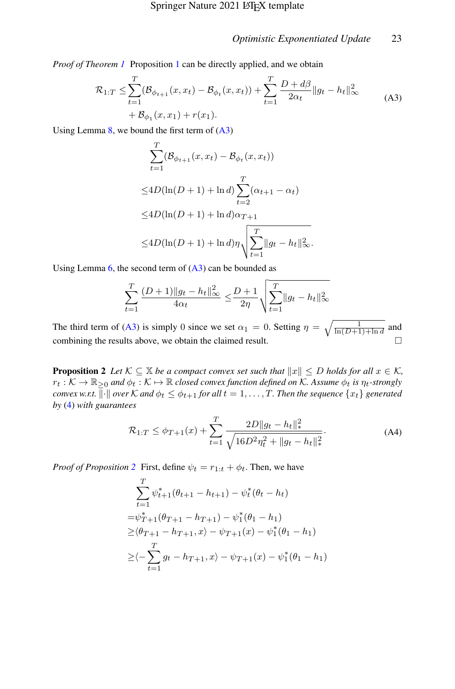<span id="page-22-0"></span>*Proof of Theorem [1](#page-20-0)* Proposition 1 can be directly applied, and we obtain

$$
\mathcal{R}_{1:T} \leq \sum_{t=1}^{T} (\mathcal{B}_{\phi_{t+1}}(x, x_t) - \mathcal{B}_{\phi_t}(x, x_t)) + \sum_{t=1}^{T} \frac{D + d\beta}{2\alpha_t} ||g_t - h_t||_{\infty}^2
$$
\n
$$
+ \mathcal{B}_{\phi_1}(x, x_1) + r(x_1).
$$
\n(A3)

Using Lemma  $8$ , we bound the first term of  $(A3)$ 

$$
\sum_{t=1}^{T} (\mathcal{B}_{\phi_{t+1}}(x, x_t) - \mathcal{B}_{\phi_t}(x, x_t))
$$
  
\n
$$
\leq 4D(\ln(D+1) + \ln d) \sum_{t=2}^{T} (\alpha_{t+1} - \alpha_t)
$$
  
\n
$$
\leq 4D(\ln(D+1) + \ln d)\alpha_{T+1}
$$
  
\n
$$
\leq 4D(\ln(D+1) + \ln d)\eta \sqrt{\sum_{t=1}^{T} ||g_t - h_t||_{\infty}^2}.
$$

Using Lemma  $6$ , the second term of  $(A3)$  can be bounded as

$$
\sum_{t=1}^{T} \frac{(D+1)\|g_t - h_t\|_{\infty}^2}{4\alpha_t} \le \frac{D+1}{2\eta} \sqrt{\sum_{t=1}^{T} \|g_t - h_t\|_{\infty}^2}
$$

The third term of [\(A3\)](#page-22-0) is simply 0 since we set  $\alpha_1 = 0$ . Setting  $\eta = \sqrt{\frac{1}{\ln(D+1)+\ln d}}$  and combining the results above, we obtain the claimed result.  $\Box$ 

<span id="page-22-1"></span>**Proposition 2** *Let*  $K \subseteq \mathbb{X}$  *be a compact convex set such that*  $||x|| \leq D$  *holds for all*  $x \in K$ *,*  $r_t : K \to \mathbb{R}_{\geq 0}$  and  $\phi_t : K \mapsto \mathbb{R}$  *closed convex function defined on* K. Assume  $\phi_t$  *is*  $\eta_t$ *-strongly convex w.r.t.*  $\|\cdot\|$  *over* K *and*  $\phi_t \leq \phi_{t+1}$  *for all*  $t = 1, \ldots, T$ . Then the sequence  $\{x_t\}$  generated *by* [\(4\)](#page-7-0) *with guarantees*

$$
\mathcal{R}_{1:T} \le \phi_{T+1}(x) + \sum_{t=1}^{T} \frac{2D||g_t - h_t||_*^2}{\sqrt{16D^2 \eta_t^2 + ||g_t - h_t||_*^2}}.
$$
 (A4)

*Proof of Proposition* [2](#page-22-1) First, define  $\psi_t = r_{1:t} + \phi_t$ . Then, we have

$$
\sum_{t=1}^{T} \psi_{t+1}^{*} (\theta_{t+1} - h_{t+1}) - \psi_{t}^{*} (\theta_{t} - h_{t})
$$
\n
$$
= \psi_{T+1}^{*} (\theta_{T+1} - h_{T+1}) - \psi_{1}^{*} (\theta_{1} - h_{1})
$$
\n
$$
\geq (\theta_{T+1} - h_{T+1}, x) - \psi_{T+1}(x) - \psi_{1}^{*} (\theta_{1} - h_{1})
$$
\n
$$
\geq \langle -\sum_{t=1}^{T} g_{t} - h_{T+1}, x \rangle - \psi_{T+1}(x) - \psi_{1}^{*} (\theta_{1} - h_{1})
$$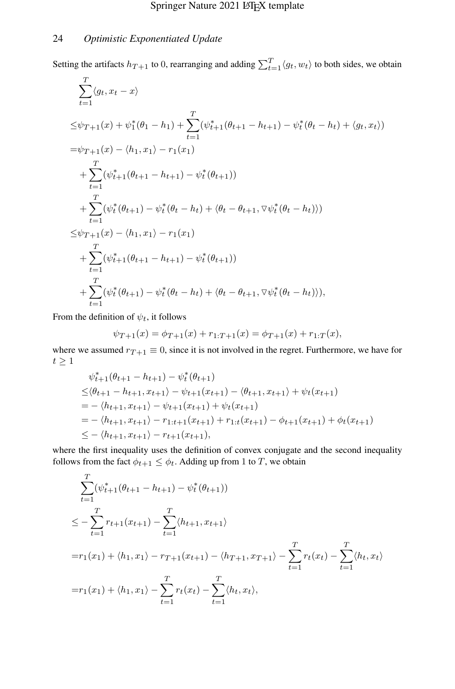$\overline{f}$ 

Setting the artifacts  $h_{T+1}$  to 0, rearranging and adding  $\sum_{t=1}^{T} \langle g_t, w_t \rangle$  to both sides, we obtain

$$
\sum_{t=1}^{I} \langle g_t, x_t - x \rangle
$$
\n
$$
\leq \psi_{T+1}(x) + \psi_1^*(\theta_1 - h_1) + \sum_{t=1}^{T} (\psi_{t+1}^*(\theta_{t+1} - h_{t+1}) - \psi_t^*(\theta_t - h_t) + \langle g_t, x_t \rangle)
$$
\n
$$
= \psi_{T+1}(x) - \langle h_1, x_1 \rangle - r_1(x_1)
$$
\n
$$
+ \sum_{t=1}^{T} (\psi_{t+1}^*(\theta_{t+1} - h_{t+1}) - \psi_t^*(\theta_{t+1}))
$$
\n
$$
+ \sum_{t=1}^{T} (\psi_t^*(\theta_{t+1}) - \psi_t^*(\theta_t - h_t) + \langle \theta_t - \theta_{t+1}, \nabla \psi_t^*(\theta_t - h_t) \rangle)
$$
\n
$$
\leq \psi_{T+1}(x) - \langle h_1, x_1 \rangle - r_1(x_1)
$$
\n
$$
+ \sum_{t=1}^{T} (\psi_{t+1}^*(\theta_{t+1} - h_{t+1}) - \psi_t^*(\theta_{t+1}))
$$
\n
$$
+ \sum_{t=1}^{T} (\psi_t^*(\theta_{t+1}) - \psi_t^*(\theta_t - h_t) + \langle \theta_t - \theta_{t+1}, \nabla \psi_t^*(\theta_t - h_t) \rangle),
$$

From the definition of  $\psi_t$ , it follows

$$
\psi_{T+1}(x) = \phi_{T+1}(x) + r_{1:T+1}(x) = \phi_{T+1}(x) + r_{1:T}(x),
$$

where we assumed  $r_{T+1} \equiv 0$ , since it is not involved in the regret. Furthermore, we have for  $t\geq 1$ 

$$
\psi_{t+1}^*(\theta_{t+1} - h_{t+1}) - \psi_t^*(\theta_{t+1})
$$
\n
$$
\leq \langle \theta_{t+1} - h_{t+1}, x_{t+1} \rangle - \psi_{t+1}(x_{t+1}) - \langle \theta_{t+1}, x_{t+1} \rangle + \psi_t(x_{t+1})
$$
\n
$$
= - \langle h_{t+1}, x_{t+1} \rangle - \psi_{t+1}(x_{t+1}) + \psi_t(x_{t+1})
$$
\n
$$
= - \langle h_{t+1}, x_{t+1} \rangle - r_{1:t+1}(x_{t+1}) + r_{1:t}(x_{t+1}) - \phi_{t+1}(x_{t+1}) + \phi_t(x_{t+1})
$$
\n
$$
\leq - \langle h_{t+1}, x_{t+1} \rangle - r_{t+1}(x_{t+1}),
$$

where the first inequality uses the definition of convex conjugate and the second inequality follows from the fact  $\phi_{t+1} \leq \phi_t$ . Adding up from 1 to T, we obtain

$$
\sum_{t=1}^{T} (\psi_{t+1}^{*}(\theta_{t+1} - h_{t+1}) - \psi_{t}^{*}(\theta_{t+1}))
$$
\n
$$
\leq -\sum_{t=1}^{T} r_{t+1}(x_{t+1}) - \sum_{t=1}^{T} \langle h_{t+1}, x_{t+1} \rangle
$$
\n
$$
= r_{1}(x_{1}) + \langle h_{1}, x_{1} \rangle - r_{T+1}(x_{t+1}) - \langle h_{T+1}, x_{T+1} \rangle - \sum_{t=1}^{T} r_{t}(x_{t}) - \sum_{t=1}^{T} \langle h_{t}, x_{t} \rangle
$$
\n
$$
= r_{1}(x_{1}) + \langle h_{1}, x_{1} \rangle - \sum_{t=1}^{T} r_{t}(x_{t}) - \sum_{t=1}^{T} \langle h_{t}, x_{t} \rangle,
$$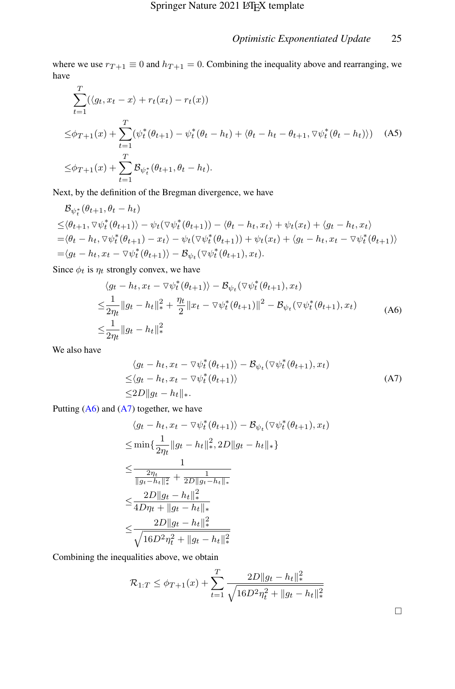where we use  $r_{T+1} \equiv 0$  and  $h_{T+1} = 0$ . Combining the inequality above and rearranging, we have

$$
\sum_{t=1}^{T} (\langle g_t, x_t - x \rangle + r_t(x_t) - r_t(x))
$$
\n
$$
\leq \phi_{T+1}(x) + \sum_{t=1}^{T} (\psi_t^*(\theta_{t+1}) - \psi_t^*(\theta_t - h_t) + \langle \theta_t - h_t - \theta_{t+1}, \nabla \psi_t^*(\theta_t - h_t) \rangle) \quad \text{(A5)}
$$
\n
$$
\leq \phi_{T+1}(x) + \sum_{t=1}^{T} \mathcal{B}_{\psi_t^*}(\theta_{t+1}, \theta_t - h_t).
$$

Next, by the definition of the Bregman divergence, we have

$$
\mathcal{B}_{\psi_t^*}(\theta_{t+1}, \theta_t - h_t)
$$
\n
$$
\leq \langle \theta_{t+1}, \nabla \psi_t^*(\theta_{t+1}) \rangle - \psi_t(\nabla \psi_t^*(\theta_{t+1})) - \langle \theta_t - h_t, x_t \rangle + \psi_t(x_t) + \langle g_t - h_t, x_t \rangle
$$
\n
$$
= \langle \theta_t - h_t, \nabla \psi_t^*(\theta_{t+1}) - x_t \rangle - \psi_t(\nabla \psi_t^*(\theta_{t+1})) + \psi_t(x_t) + \langle g_t - h_t, x_t - \nabla \psi_t^*(\theta_{t+1}) \rangle
$$
\n
$$
= \langle g_t - h_t, x_t - \nabla \psi_t^*(\theta_{t+1}) \rangle - \mathcal{B}_{\psi_t}(\nabla \psi_t^*(\theta_{t+1}), x_t).
$$

<span id="page-24-0"></span>Since  $\phi_t$  is  $\eta_t$  strongly convex, we have

$$
\langle g_t - h_t, x_t - \nabla \psi_t^* (\theta_{t+1}) \rangle - \mathcal{B}_{\psi_t} (\nabla \psi_t^* (\theta_{t+1}), x_t)
$$
  
\n
$$
\leq \frac{1}{2\eta_t} \|g_t - h_t\|_{*}^2 + \frac{\eta_t}{2} \|x_t - \nabla \psi_t^* (\theta_{t+1})\|^2 - \mathcal{B}_{\psi_t} (\nabla \psi_t^* (\theta_{t+1}), x_t)
$$
  
\n
$$
\leq \frac{1}{2\eta_t} \|g_t - h_t\|_{*}^2
$$
\n(A6)

<span id="page-24-1"></span>We also have

$$
\langle g_t - h_t, x_t - \nabla \psi_t^*(\theta_{t+1}) \rangle - \mathcal{B}_{\psi_t}(\nabla \psi_t^*(\theta_{t+1}), x_t)
$$
  
\n
$$
\leq \langle g_t - h_t, x_t - \nabla \psi_t^*(\theta_{t+1}) \rangle
$$
  
\n
$$
\leq 2D \| g_t - h_t \|_*. \tag{A7}
$$

Putting  $(A6)$  and  $(A7)$  together, we have

$$
\langle g_t - h_t, x_t - \nabla \psi_t^* (\theta_{t+1}) \rangle - \mathcal{B}_{\psi_t} (\nabla \psi_t^* (\theta_{t+1}), x_t)
$$
  
\n
$$
\leq \min \{ \frac{1}{2\eta_t} \|g_t - h_t\|_*^2, 2D \|g_t - h_t\|_* \}
$$
  
\n
$$
\leq \frac{1}{\frac{2\eta_t}{\|g_t - h_t\|_*^2} + \frac{1}{2D \|g_t - h_t\|_*^2}}
$$
  
\n
$$
\leq \frac{2D \|g_t - h_t\|_*^2}{4D\eta_t + \|g_t - h_t\|_*^2}
$$
  
\n
$$
\leq \frac{2D \|g_t - h_t\|_*^2}{\sqrt{16D^2\eta_t^2 + \|g_t - h_t\|_*^2}}
$$

Combining the inequalities above, we obtain

$$
\mathcal{R}_{1:T} \leq \phi_{T+1}(x) + \sum_{t=1}^{T} \frac{2D||g_t - h_t||_*^2}{\sqrt{16D^2 \eta_t^2 + ||g_t - h_t||_*^2}}
$$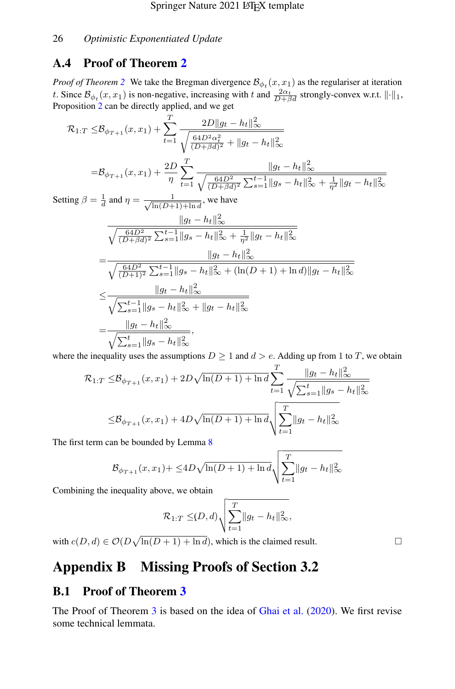## A.4 Proof of Theorem [2](#page-7-4)

*Proof of Theorem* [2](#page-7-4) We take the Bregman divergence  $\mathcal{B}_{\phi_t}(x, x_1)$  as the regulariser at iteration t. Since  $\mathcal{B}_{\phi_t}(x, x_1)$  is non-negative, increasing with t and  $\frac{2\alpha_t}{D+\beta d}$  strongly-convex w.r.t.  $\lVert \cdot \rVert_1$ , Proposition [2](#page-22-1) can be directly applied, and we get

$$
\mathcal{R}_{1:T} \leq \mathcal{B}_{\phi_{T+1}}(x, x_1) + \sum_{t=1}^{T} \frac{2D||g_t - h_t||_{\infty}^2}{\sqrt{\frac{64D^2\alpha_t^2}{(D+\beta d)^2} + ||g_t - h_t||_{\infty}^2}}
$$
  
=  $\mathcal{B}_{\phi_{T+1}}(x, x_1) + \frac{2D}{\eta} \sum_{t=1}^{T} \frac{||g_t - h_t||_{\infty}^2}{\sqrt{\frac{64D^2}{(D+\beta d)^2} \sum_{s=1}^{t-1} ||g_s - h_t||_{\infty}^2 + \frac{1}{\eta^2} ||g_t - h_t||_{\infty}^2}}$ 

Setting  $\beta = \frac{1}{d}$  and  $\eta = \frac{1}{\sqrt{\ln(D+1)}}$  $\frac{1}{\ln(D+1)+\ln d}$ , we have

$$
\frac{\|g_t - h_t\|_{\infty}^2}{\sqrt{\frac{64D^2}{(D+\beta d)^2} \sum_{s=1}^{t-1} \|g_s - h_t\|_{\infty}^2 + \frac{1}{\eta^2} \|g_t - h_t\|_{\infty}^2}}
$$
\n
$$
= \frac{\|g_t - h_t\|_{\infty}^2}{\sqrt{\frac{64D^2}{(D+1)^2} \sum_{s=1}^{t-1} \|g_s - h_t\|_{\infty}^2 + (\ln(D+1) + \ln d) \|g_t - h_t\|_{\infty}^2}}
$$
\n
$$
\leq \frac{\|g_t - h_t\|_{\infty}^2}{\sqrt{\sum_{s=1}^{t-1} \|g_s - h_t\|_{\infty}^2 + \|g_t - h_t\|_{\infty}^2}}
$$
\n
$$
= \frac{\|g_t - h_t\|_{\infty}^2}{\sqrt{\sum_{s=1}^{t} \|g_s - h_t\|_{\infty}^2}},
$$

where the inequality uses the assumptions  $D \ge 1$  and  $d > e$ . Adding up from 1 to T, we obtain

$$
\mathcal{R}_{1:T} \leq \mathcal{B}_{\phi_{T+1}}(x, x_1) + 2D\sqrt{\ln(D+1) + \ln d} \sum_{t=1}^T \frac{\|g_t - h_t\|_{\infty}^2}{\sqrt{\sum_{s=1}^t \|g_s - h_t\|_{\infty}^2}}
$$
  

$$
\leq \mathcal{B}_{\phi_{T+1}}(x, x_1) + 4D\sqrt{\ln(D+1) + \ln d} \sqrt{\sum_{t=1}^T \|g_t - h_t\|_{\infty}^2}
$$

The first term can be bounded by Lemma [8](#page-37-0)

$$
\mathcal{B}_{\phi_{T+1}}(x, x_1) + \leq 4D\sqrt{\ln(D+1) + \ln d} \sqrt{\sum_{t=1}^{T} \|g_t - h_t\|_{\infty}^2}
$$

Combining the inequality above, we obtain

$$
\mathcal{R}_{1:T} \leq (D,d) \sqrt{\sum_{t=1}^T \|g_t - h_t\|_{\infty}^2},
$$

with  $c(D, d) \in \mathcal{O}(D\sqrt{\ln(D+1) + \ln d})$ , which is the claimed result.

# Appendix B Missing Proofs of Section 3.2

## <span id="page-25-0"></span>B.1 Proof of Theorem [3](#page-7-1)

The Proof of Theorem [3](#page-7-1) is based on the idea of [Ghai et al.](#page-39-3) [\(2020\)](#page-39-3). We first revise some technical lemmata.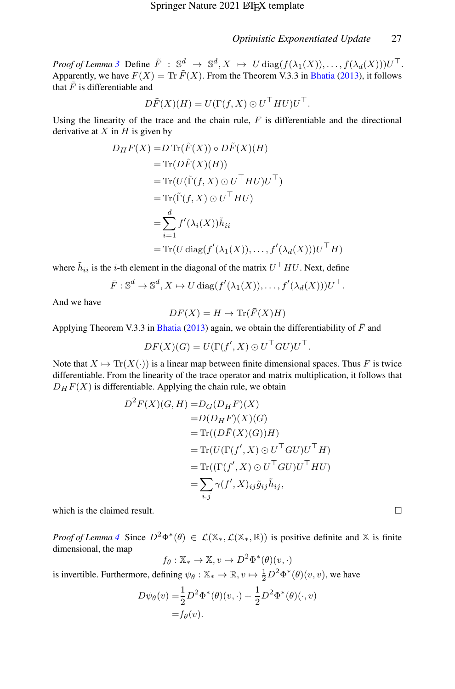*Proof of Lemma* [3](#page-8-0) Define  $\tilde{F}$  :  $\mathbb{S}_{\sim}^d$   $\to$   $\mathbb{S}^d$ ,  $X \to U$  diag $(f(\lambda_1(X)), \ldots, f(\lambda_d(X)))U^{\top}$ . Apparently, we have  $F(X) = \text{Tr } \tilde{F}(X)$ . From the Theorem V.3.3 in [Bhatia](#page-39-12) [\(2013\)](#page-39-12), it follows that  $\tilde{F}$  is differentiable and

$$
D\tilde{F}(X)(H) = U(\Gamma(f, X) \odot U^{\top} H U)U^{\top}.
$$

Using the linearity of the trace and the chain rule,  $F$  is differentiable and the directional derivative at  $X$  in  $H$  is given by

$$
D_H F(X) = D \operatorname{Tr}(\tilde{F}(X)) \circ D\tilde{F}(X)(H)
$$
  
=  $\operatorname{Tr}(D\tilde{F}(X)(H))$   
=  $\operatorname{Tr}(U(\tilde{\Gamma}(f, X) \odot U^{\top} H U)U^{\top})$   
=  $\operatorname{Tr}(\tilde{\Gamma}(f, X) \odot U^{\top} H U)$   
=  $\sum_{i=1}^{d} f'(\lambda_i(X))\tilde{h}_{ii}$   
=  $\operatorname{Tr}(U \operatorname{diag}(f'(\lambda_1(X)), \dots, f'(\lambda_d(X)))U^{\top} H)$ 

where  $\tilde{h}_{ii}$  is the *i*-th element in the diagonal of the matrix  $U^\top H U$ . Next, define

$$
\overline{F}: \mathbb{S}^d \to \mathbb{S}^d, X \mapsto U \operatorname{diag}(f'(\lambda_1(X)), \ldots, f'(\lambda_d(X)))U^{\top}.
$$

And we have

$$
DF(X) = H \mapsto \text{Tr}(\bar{F}(X)H)
$$

Applying Theorem V.3.3 in [Bhatia](#page-39-12) [\(2013\)](#page-39-12) again, we obtain the differentiability of  $\bar{F}$  and

$$
D\bar{F}(X)(G) = U(\Gamma(f', X) \odot U^{\top} G U)U^{\top}.
$$

Note that  $X \mapsto \text{Tr}(X(\cdot))$  is a linear map between finite dimensional spaces. Thus F is twice differentiable. From the linearity of the trace operator and matrix multiplication, it follows that  $D_HF(X)$  is differentiable. Applying the chain rule, we obtain

$$
D^{2}F(X)(G,H) = D_{G}(D_{H}F)(X)
$$
  
\n
$$
= D(D_{H}F)(X)(G)
$$
  
\n
$$
= \text{Tr}((D\overline{F}(X)(G))H)
$$
  
\n
$$
= \text{Tr}(U(\Gamma(f',X) \odot U^{\top}GU)U^{\top}H)
$$
  
\n
$$
= \text{Tr}((\Gamma(f',X) \odot U^{\top}GU)U^{\top}HU)
$$
  
\n
$$
= \sum_{i,j} \gamma(f',X)_{ij}\tilde{g}_{ij}\tilde{h}_{ij},
$$

which is the claimed result.

*Proof of Lemma* [4](#page-8-1) Since  $D^2\Phi^*(\theta) \in \mathcal{L}(\mathbb{X}_*, \mathcal{L}(\mathbb{X}_*, \mathbb{R}))$  is positive definite and X is finite dimensional, the map

$$
f_{\theta}: \mathbb{X}_{*} \to \mathbb{X}, v \mapsto D^{2} \Phi^{*}(\theta)(v, \cdot)
$$

is invertible. Furthermore, defining  $\psi_{\theta} : \mathbb{X}_* \to \mathbb{R}, v \mapsto \frac{1}{2} D^2 \Phi^*(\theta)(v, v)$ , we have

$$
D\psi_{\theta}(v) = \frac{1}{2}D^2\Phi^*(\theta)(v, \cdot) + \frac{1}{2}D^2\Phi^*(\theta)(\cdot, v)
$$
  
=  $f_{\theta}(v)$ .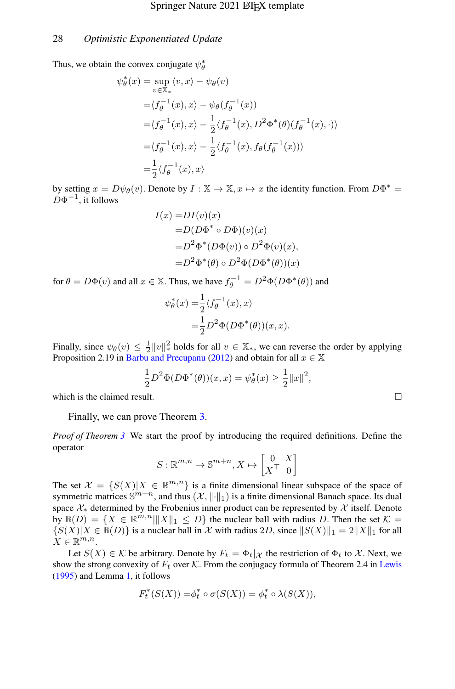Thus, we obtain the convex conjugate  $\psi_{\theta}^*$ 

$$
\psi_{\theta}^{*}(x) = \sup_{v \in \mathbb{X}_{*}} \langle v, x \rangle - \psi_{\theta}(v)
$$
  
\n
$$
= \langle f_{\theta}^{-1}(x), x \rangle - \psi_{\theta}(f_{\theta}^{-1}(x))
$$
  
\n
$$
= \langle f_{\theta}^{-1}(x), x \rangle - \frac{1}{2} \langle f_{\theta}^{-1}(x), D^{2} \Phi^{*}(\theta) (f_{\theta}^{-1}(x), \cdot) \rangle
$$
  
\n
$$
= \langle f_{\theta}^{-1}(x), x \rangle - \frac{1}{2} \langle f_{\theta}^{-1}(x), f_{\theta}(f_{\theta}^{-1}(x)) \rangle
$$
  
\n
$$
= \frac{1}{2} \langle f_{\theta}^{-1}(x), x \rangle
$$

by setting  $x = D\psi_{\theta}(v)$ . Denote by  $I : \mathbb{X} \to \mathbb{X}, x \mapsto x$  the identity function. From  $D\Phi^* =$  $D\Phi^{-1}$ , it follows

$$
I(x) = DI(v)(x)
$$
  
= $D(D\Phi^* \circ D\Phi)(v)(x)$   
= $D^2\Phi^*(D\Phi(v)) \circ D^2\Phi(v)(x)$ ,  
= $D^2\Phi^*(\theta) \circ D^2\Phi(D\Phi^*(\theta))(x)$ 

for  $\theta = D\Phi(v)$  and all  $x \in \mathbb{X}$ . Thus, we have  $f_{\theta}^{-1} = D^2\Phi(D\Phi^*(\theta))$  and

$$
\psi_{\theta}^*(x) = \frac{1}{2} \langle f_{\theta}^{-1}(x), x \rangle
$$
  
= 
$$
\frac{1}{2} D^2 \Phi(D\Phi^*(\theta))(x, x).
$$

Finally, since  $\psi_{\theta}(v) \leq \frac{1}{2} ||v||_*^2$  holds for all  $v \in \mathbb{X}_*$ , we can reverse the order by applying Proposition 2.19 in [Barbu and Precupanu](#page-38-2) [\(2012\)](#page-38-2) and obtain for all  $x \in \mathbb{X}$ 

$$
\frac{1}{2}D^2\Phi(D\Phi^*(\theta))(x,x) = \psi^*_{\theta}(x) \ge \frac{1}{2}||x||^2,
$$

which is the claimed result.  $\Box$ 

Finally, we can prove Theorem [3.](#page-7-1)

*Proof of Theorem [3](#page-7-1)* We start the proof by introducing the required definitions. Define the operator

$$
S: \mathbb{R}^{m,n} \to \mathbb{S}^{m+n}, X \mapsto \begin{bmatrix} 0 & X \\ X^{\top} & 0 \end{bmatrix}
$$

The set  $\mathcal{X} = \{S(X)|X \in \mathbb{R}^{m,n}\}\$ is a finite dimensional linear subspace of the space of symmetric matrices  $\mathbb{S}^{m+n}$ , and thus  $(\mathcal{X}, \|\cdot\|_1)$  is a finite dimensional Banach space. Its dual space  $\mathcal{X}_*$  determined by the Frobenius inner product can be represented by  $\mathcal X$  itself. Denote by  $\mathbb{B}(D) = \{X \in \mathbb{R}^{m,n} | \|X\|_1 \leq D\}$  the nuclear ball with radius D. Then the set  $\mathcal{K} =$  $\{S(X)|X \in \mathbb{B}(D)\}\$ is a nuclear ball in X with radius 2D, since  $||S(X)||_1 = 2||X||_1$  for all  $X \in \mathbb{R}^{m,n}$ .

Let  $S(X) \in \mathcal{K}$  be arbitrary. Denote by  $F_t = \Phi_t | \chi$  the restriction of  $\Phi_t$  to X. Next, we show the strong convexity of  $F_t$  over K. From the conjugacy formula of Theorem 2.4 in [Lewis](#page-40-10) [\(1995\)](#page-40-10) and Lemma [1,](#page-5-0) it follows

$$
F_t^*(S(X)) = \phi_t^* \circ \sigma(S(X)) = \phi_t^* \circ \lambda(S(X)),
$$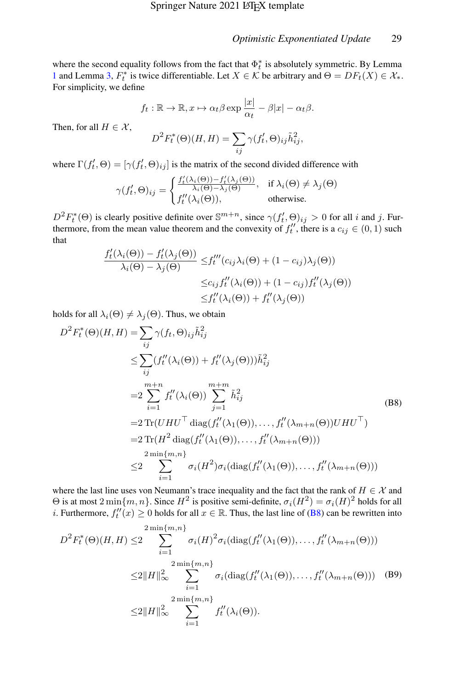where the second equality follows from the fact that  $\Phi_t^*$  is absolutely symmetric. By Lemma [1](#page-5-0) and Lemma [3,](#page-8-0)  $F_t^*$  is twice differentiable. Let  $X \in \mathcal{K}$  be arbitrary and  $\Theta = DF_t(X) \in \mathcal{X}_*$ . For simplicity, we define

$$
f_t: \mathbb{R} \to \mathbb{R}, x \mapsto \alpha_t \beta \exp \frac{|x|}{\alpha_t} - \beta |x| - \alpha_t \beta.
$$

Then, for all  $H \in \mathcal{X}$ ,

$$
D^{2}F_{t}^{*}(\Theta)(H,H) = \sum_{ij} \gamma(f_{t}',\Theta)_{ij}\tilde{h}_{ij}^{2},
$$

where  $\Gamma(f'_t, \Theta) = [\gamma(f'_t, \Theta)_{ij}]$  is the matrix of the second divided difference with

$$
\gamma(f'_t, \Theta)_{ij} = \begin{cases} \frac{f'_t(\lambda_i(\Theta)) - f'_t(\lambda_j(\Theta))}{\lambda_i(\Theta) - \lambda_j(\Theta)}, & \text{if } \lambda_i(\Theta) \neq \lambda_j(\Theta) \\ f''_t(\lambda_i(\Theta)), & \text{otherwise.} \end{cases}
$$

 $D^2 F_t^*(\Theta)$  is clearly positive definite over  $\mathbb{S}^{m+n}$ , since  $\gamma(f_t^j, \Theta)_{ij} > 0$  for all i and j. Furthermore, from the mean value theorem and the convexity of  $f_t''$ , there is a  $c_{ij} \in (0,1)$  such that

$$
\frac{f'_t(\lambda_i(\Theta)) - f'_t(\lambda_j(\Theta))}{\lambda_i(\Theta) - \lambda_j(\Theta)} \le f''_t(c_{ij}\lambda_i(\Theta) + (1 - c_{ij})\lambda_j(\Theta))
$$
  

$$
\le c_{ij} f''_t(\lambda_i(\Theta)) + (1 - c_{ij}) f''_t(\lambda_j(\Theta))
$$
  

$$
\le f''_t(\lambda_i(\Theta)) + f''_t(\lambda_j(\Theta))
$$

holds for all  $\lambda_i(\Theta) \neq \lambda_i(\Theta)$ . Thus, we obtain

<span id="page-28-0"></span>
$$
D^{2}F_{t}^{*}(\Theta)(H,H) = \sum_{ij} \gamma(f_{t}, \Theta)_{ij} \tilde{h}_{ij}^{2}
$$
  
\n
$$
\leq \sum_{ij} (f_{t}''(\lambda_{i}(\Theta)) + f_{t}''(\lambda_{j}(\Theta)))\tilde{h}_{ij}^{2}
$$
  
\n
$$
= 2 \sum_{i=1}^{m+n} f_{t}''(\lambda_{i}(\Theta)) \sum_{j=1}^{m+m} \tilde{h}_{ij}^{2}
$$
  
\n
$$
= 2 \operatorname{Tr}(UHU^{\top} \operatorname{diag}(f_{t}''(\lambda_{1}(\Theta)), \dots, f_{t}''(\lambda_{m+n}(\Theta))UHU^{\top})
$$
  
\n
$$
= 2 \operatorname{Tr}(H^{2} \operatorname{diag}(f_{t}''(\lambda_{1}(\Theta)), \dots, f_{t}''(\lambda_{m+n}(\Theta)))
$$
  
\n
$$
2 \min\{m,n\}
$$
  
\n
$$
\leq 2 \sum_{i=1}^{m+n} \sigma_{i}(H^{2}) \sigma_{i}(\operatorname{diag}(f_{t}''(\lambda_{1}(\Theta)), \dots, f_{t}''(\lambda_{m+n}(\Theta)))
$$

where the last line uses von Neumann's trace inequality and the fact that the rank of  $H \in \mathcal{X}$  and  $\Theta$  is at most  $2 \min\{m, n\}$ . Since  $H^2$  is positive semi-definite,  $\sigma_i(H^2) = \sigma_i(H)^2$  holds for all *i*. Furthermore,  $f''_t(x) \ge 0$  holds for all  $x \in \mathbb{R}$ . Thus, the last line of [\(B8\)](#page-28-0) can be rewritten into

<span id="page-28-1"></span>
$$
D^{2}F_{t}^{*}(\Theta)(H,H) \leq 2 \sum_{i=1}^{2\min\{m,n\}} \sigma_{i}(H)^{2} \sigma_{i}(\text{diag}(f_{t}''(\lambda_{1}(\Theta)),\ldots,f_{t}''(\lambda_{m+n}(\Theta)))
$$
  

$$
\leq 2\|H\|_{\infty}^{2} \sum_{i=1}^{2\min\{m,n\}} \sigma_{i}(\text{diag}(f_{t}''(\lambda_{1}(\Theta)),\ldots,f_{t}''(\lambda_{m+n}(\Theta))) \quad (B9)
$$
  

$$
\leq 2\|H\|_{\infty}^{2} \sum_{i=1}^{2\min\{m,n\}} f_{t}''(\lambda_{i}(\Theta)).
$$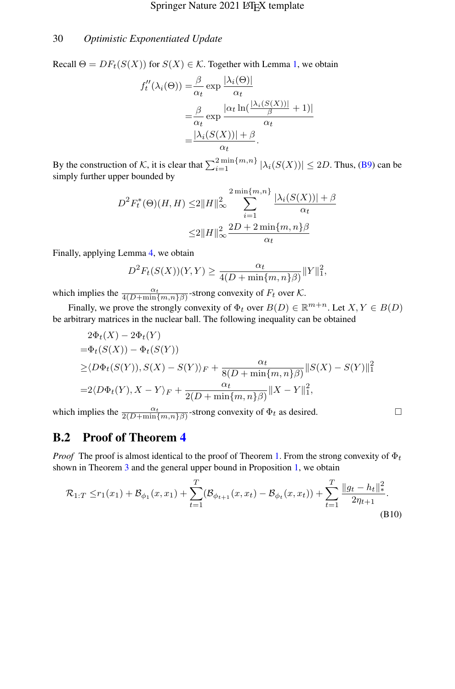Recall  $\Theta = DF_t(S(X))$  for  $S(X) \in \mathcal{K}$ . Together with Lemma [1,](#page-5-0) we obtain

$$
f''_t(\lambda_i(\Theta)) = \frac{\beta}{\alpha_t} \exp \frac{|\lambda_i(\Theta)|}{\alpha_t}
$$
  
= 
$$
\frac{\beta}{\alpha_t} \exp \frac{|\alpha_t \ln(\frac{|\lambda_i(S(X))|}{\beta} + 1)|}{\alpha_t}
$$
  
= 
$$
\frac{|\lambda_i(S(X))| + \beta}{\alpha_t}.
$$

By the construction of K, it is clear that  $\sum_{i=1}^{2 \min\{m,n\}} |\lambda_i(S(X))| \le 2D$ . Thus, [\(B9\)](#page-28-1) can be simply further upper bounded by

$$
D^{2}F_{t}^{*}(\Theta)(H,H) \leq 2||H||_{\infty}^{2} \sum_{i=1}^{2\min\{m,n\}} \frac{|\lambda_{i}(S(X))| + \beta}{\alpha_{t}}
$$

$$
\leq 2||H||_{\infty}^{2} \frac{2D + 2\min\{m,n\}\beta}{\alpha_{t}}
$$

Finally, applying Lemma [4,](#page-8-1) we obtain

$$
D^{2}F_{t}(S(X))(Y,Y) \geq \frac{\alpha_{t}}{4(D + \min\{m,n\}\beta)} ||Y||_{1}^{2},
$$

which implies the  $\frac{\alpha_t}{4(D+\min\{m,n\}\beta)}$ -strong convexity of  $F_t$  over  $K$ .

Finally, we prove the strongly convexity of  $\Phi_t$  over  $B(D) \in \mathbb{R}^{m+n}$ . Let  $X, Y \in B(D)$ be arbitrary matrices in the nuclear ball. The following inequality can be obtained

$$
2\Phi_t(X) - 2\Phi_t(Y)
$$
  
=  $\Phi_t(S(X)) - \Phi_t(S(Y))$   

$$
\geq \langle D\Phi_t(S(Y)), S(X) - S(Y)\rangle_F + \frac{\alpha_t}{8(D + \min\{m, n\}\beta)} ||S(X) - S(Y)||_1^2
$$
  
=  $2\langle D\Phi_t(Y), X - Y\rangle_F + \frac{\alpha_t}{2(D + \min\{m, n\}\beta)} ||X - Y||_1^2$ ,

which implies the  $\frac{\alpha_t}{2(D+\min\{m,n\}\beta)}$ -strong convexity of  $\Phi_t$  as desired.

## B.2 Proof of Theorem [4](#page-9-1)

*Proof* The proof is almost identical to the proof of Theorem [1.](#page-7-3) From the strong convexity of  $\Phi_t$ shown in Theorem [3](#page-7-1) and the general upper bound in Proposition [1,](#page-20-0) we obtain

$$
\mathcal{R}_{1:T} \le r_1(x_1) + \mathcal{B}_{\phi_1}(x, x_1) + \sum_{t=1}^T (\mathcal{B}_{\phi_{t+1}}(x, x_t) - \mathcal{B}_{\phi_t}(x, x_t)) + \sum_{t=1}^T \frac{\|g_t - h_t\|_*^2}{2\eta_{t+1}}.
$$
\n(B10)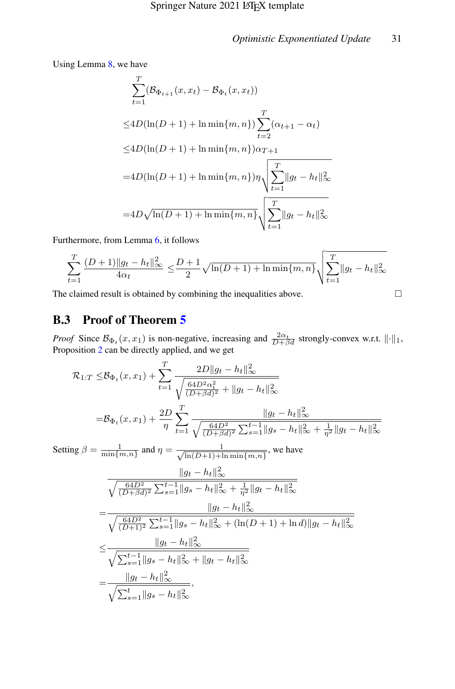Using Lemma [8,](#page-37-0) we have

$$
\sum_{t=1}^{T} (\mathcal{B}_{\Phi_{t+1}}(x, x_t) - \mathcal{B}_{\Phi_t}(x, x_t))
$$
\n
$$
\leq 4D(\ln(D+1) + \ln \min\{m, n\}) \sum_{t=2}^{T} (\alpha_{t+1} - \alpha_t)
$$
\n
$$
\leq 4D(\ln(D+1) + \ln \min\{m, n\}) \alpha_{T+1}
$$
\n
$$
= 4D(\ln(D+1) + \ln \min\{m, n\}) \eta \sqrt{\sum_{t=1}^{T} ||g_t - h_t||_{\infty}^2}
$$
\n
$$
= 4D\sqrt{\ln(D+1) + \ln \min\{m, n\}} \sqrt{\sum_{t=1}^{T} ||g_t - h_t||_{\infty}^2}
$$

Furthermore, from Lemma [6,](#page-36-0) it follows

$$
\sum_{t=1}^T \frac{(D+1)\|g_t - h_t\|_\infty^2}{4\alpha_t} \le \frac{D+1}{2} \sqrt{\ln(D+1) + \ln \min\{m,n\}} \sqrt{\sum_{t=1}^T \|g_t - h_t\|_\infty^2}
$$

The claimed result is obtained by combining the inequalities above.  $\Box$ 

# B.3 Proof of Theorem [5](#page-9-2)

*Proof* Since  $\mathcal{B}_{\Phi_t}(x, x_1)$  is non-negative, increasing and  $\frac{2\alpha_t}{D+\beta d}$  strongly-convex w.r.t.  $\lVert \cdot \rVert_1$ , Proposition [2](#page-22-1) can be directly applied, and we get

$$
\mathcal{R}_{1:T} \leq \mathcal{B}_{\Phi_t}(x, x_1) + \sum_{t=1}^{T} \frac{2D||g_t - h_t||_{\infty}^2}{\sqrt{\frac{64D^2\alpha_t^2}{(D+\beta d)^2} + ||g_t - h_t||_{\infty}^2}}
$$
\n
$$
= \mathcal{B}_{\Phi_t}(x, x_1) + \frac{2D}{\eta} \sum_{t=1}^{T} \frac{||g_t - h_t||_{\infty}^2}{\sqrt{\frac{64D^2}{(D+\beta d)^2} \sum_{s=1}^{t-1} ||g_s - h_t||_{\infty}^2} + \frac{1}{\eta^2} ||g_t - h_t||_{\infty}^2}
$$
\nSetting  $\beta = \frac{1}{\min\{m, n\}}$  and  $\eta = \frac{1}{\sqrt{\ln(D+1) + \ln \min\{m, n\}}}$ , we have\n
$$
\frac{||g_t - h_t||_{\infty}^2}{\sqrt{\frac{64D^2}{(D+\beta d)^2} \sum_{s=1}^{t-1} ||g_s - h_t||_{\infty}^2} + \frac{1}{\eta^2} ||g_t - h_t||_{\infty}^2}
$$
\n
$$
= \frac{||g_t - h_t||_{\infty}^2}{\sqrt{\frac{64D^2}{(D+1)^2} \sum_{s=1}^{t-1} ||g_s - h_t||_{\infty}^2} + (\ln(D+1) + \ln d) ||g_t - h_t||_{\infty}^2}
$$
\n
$$
\leq \frac{||g_t - h_t||_{\infty}^2}{\sqrt{\sum_{s=1}^{t-1} ||g_s - h_t||_{\infty}^2} + ||g_t - h_t||_{\infty}^2}
$$
\n
$$
= \frac{||g_t - h_t||_{\infty}^2}{\sqrt{\sum_{s=1}^{t} ||g_s - h_t||_{\infty}^2}},
$$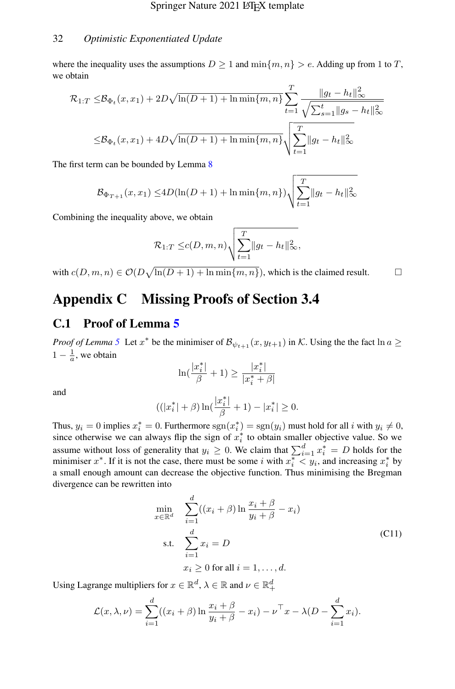where the inequality uses the assumptions  $D \ge 1$  and  $\min\{m, n\} > e$ . Adding up from 1 to T, we obtain

$$
\mathcal{R}_{1:T} \leq \mathcal{B}_{\Phi_t}(x, x_1) + 2D\sqrt{\ln(D+1) + \ln \min\{m, n\}} \sum_{t=1}^T \frac{\|g_t - h_t\|_{\infty}^2}{\sqrt{\sum_{s=1}^t \|g_s - h_t\|_{\infty}^2}}
$$

$$
\leq \mathcal{B}_{\Phi_t}(x, x_1) + 4D\sqrt{\ln(D+1) + \ln \min\{m, n\}} \sqrt{\sum_{t=1}^T \|g_t - h_t\|_{\infty}^2}
$$

The first term can be bounded by Lemma [8](#page-37-0)

$$
\mathcal{B}_{\Phi_{T+1}}(x, x_1) \le 4D(\ln(D+1) + \ln \min\{m, n\}) \sqrt{\sum_{t=1}^{T} ||g_t - h_t||_{\infty}^2}
$$

Combining the inequality above, we obtain

$$
\mathcal{R}_{1:T} \leq c(D,m,n) \sqrt{\sum_{t=1}^{T} ||g_t - h_t||_{\infty}^2},
$$

with  $c(D, m, n) \in \mathcal{O}(D\sqrt{\ln(D+1) + \ln \min\{m, n\}})$ , which is the claimed result.

# Appendix C Missing Proofs of Section 3.4

## C.1 Proof of Lemma [5](#page-12-1)

*Proof of Lemma* [5](#page-12-1) Let  $x^*$  be the minimiser of  $\mathcal{B}_{\psi_{t+1}}(x, y_{t+1})$  in K. Using the the fact  $\ln a \geq$  $1 - \frac{1}{a}$ , we obtain

$$
\ln(\frac{|x^*_i|}{\beta}+1)\geq\frac{|x^*_i|}{|x^*_i+\beta|}
$$

and

$$
((|x^*_i|+\beta)\ln(\frac{|x^*_i|}{\beta}+1)-|x^*_i|\geq 0.
$$

Thus,  $y_i = 0$  implies  $x_i^* = 0$ . Furthermore  $sgn(x_i^*) = sgn(y_i)$  must hold for all i with  $y_i \neq 0$ , since otherwise we can always flip the sign of  $x_i^*$  to obtain smaller objective value. So we assume without loss of generality that  $y_i \geq 0$ . We claim that  $\sum_{i=1}^{d} x_i^* = D$  holds for the minimiser x<sup>\*</sup>. If it is not the case, there must be some i with  $x_i^* \leq y_i$ , and increasing  $x_i^*$  by a small enough amount can decrease the objective function. Thus minimising the Bregman divergence can be rewritten into

$$
\min_{x \in \mathbb{R}^d} \quad \sum_{i=1}^d ((x_i + \beta) \ln \frac{x_i + \beta}{y_i + \beta} - x_i)
$$
\n
$$
\text{s.t.} \quad \sum_{i=1}^d x_i = D
$$
\n
$$
x_i \ge 0 \text{ for all } i = 1, \dots, d.
$$
\n
$$
(C11)
$$

<span id="page-31-0"></span>Using Lagrange multipliers for  $x \in \mathbb{R}^d$ ,  $\lambda \in \mathbb{R}$  and  $\nu \in \mathbb{R}_+^d$ 

$$
\mathcal{L}(x,\lambda,\nu) = \sum_{i=1}^d ((x_i + \beta) \ln \frac{x_i + \beta}{y_i + \beta} - x_i) - \nu^\top x - \lambda (D - \sum_{i=1}^d x_i).
$$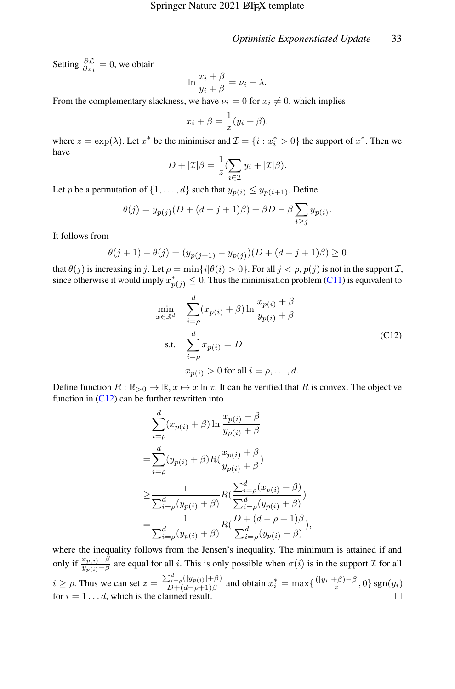Setting  $\frac{\partial \mathcal{L}}{\partial x_i} = 0$ , we obtain

$$
\ln \frac{x_i + \beta}{y_i + \beta} = \nu_i - \lambda.
$$

From the complementary slackness, we have  $\nu_i = 0$  for  $x_i \neq 0$ , which implies

$$
x_i + \beta = \frac{1}{z}(y_i + \beta),
$$

where  $z = \exp(\lambda)$ . Let  $x^*$  be the minimiser and  $\mathcal{I} = \{i : x_i^* > 0\}$  the support of  $x^*$ . Then we have

$$
D + |\mathcal{I}|\beta = \frac{1}{z} \left( \sum_{i \in \mathcal{I}} y_i + |\mathcal{I}|\beta \right).
$$

Let p be a permutation of  $\{1, \ldots, d\}$  such that  $y_{p(i)} \leq y_{p(i+1)}$ . Define

$$
\theta(j) = y_{p(j)}(D + (d-j+1)\beta) + \beta D - \beta \sum_{i \ge j} y_{p(i)}.
$$

It follows from

$$
\theta(j+1) - \theta(j) = (y_{p(j+1)} - y_{p(j)})(D + (d - j + 1)\beta) \ge 0
$$

that  $\theta(j)$  is increasing in j. Let  $\rho = \min\{i|\theta(i) > 0\}$ . For all  $j < \rho, p(j)$  is not in the support  $\mathcal{I}$ , since otherwise it would imply  $x_{p(j)}^* \leq 0$ . Thus the minimisation problem [\(C11\)](#page-31-0) is equivalent to

$$
\min_{x \in \mathbb{R}^d} \quad \sum_{i=\rho}^d (x_{p(i)} + \beta) \ln \frac{x_{p(i)} + \beta}{y_{p(i)} + \beta}
$$
\n
$$
\text{s.t.} \quad \sum_{i=\rho}^d x_{p(i)} = D
$$
\n
$$
x_{p(i)} > 0 \text{ for all } i = \rho, \dots, d.
$$
\n(C12)

<span id="page-32-0"></span>Define function  $R : \mathbb{R}_{>0} \to \mathbb{R}, x \mapsto x \ln x$ . It can be verified that R is convex. The objective function in  $(C12)$  can be further rewritten into

$$
\sum_{i=\rho}^{d} (x_{p(i)} + \beta) \ln \frac{x_{p(i)} + \beta}{y_{p(i)} + \beta}
$$
\n
$$
= \sum_{i=\rho}^{d} (y_{p(i)} + \beta) R(\frac{x_{p(i)} + \beta}{y_{p(i)} + \beta})
$$
\n
$$
\geq \frac{1}{\sum_{i=\rho}^{d} (y_{p(i)} + \beta)} R(\frac{\sum_{i=\rho}^{d} (x_{p(i)} + \beta)}{\sum_{i=\rho}^{d} (y_{p(i)} + \beta)})
$$
\n
$$
= \frac{1}{\sum_{i=\rho}^{d} (y_{p(i)} + \beta)} R(\frac{D + (d - \rho + 1)\beta}{\sum_{i=\rho}^{d} (y_{p(i)} + \beta)}),
$$

where the inequality follows from the Jensen's inequality. The minimum is attained if and only if  $\frac{x_{p(i)} + \beta}{y_{p(i)} + \beta}$  are equal for all i. This is only possible when  $\sigma(i)$  is in the support  $\mathcal I$  for all  $i \ge \rho$ . Thus we can set  $z = \frac{\sum_{i=\rho}^{d} (|y_{p(i)}| + \beta)}{D + (d - \rho + 1)\beta}$  $\frac{d\ddot{x}}{dt} = \frac{\rho(|y_{p(i)}|+\beta)}{D+(d-\rho+1)\beta}$  and obtain  $x_i^* = \max\{\frac{(|y_i|+\beta)-\beta}{z}, 0\}$  sgn $(y_i)$ for  $i = 1 \dots d$ , which is the claimed result.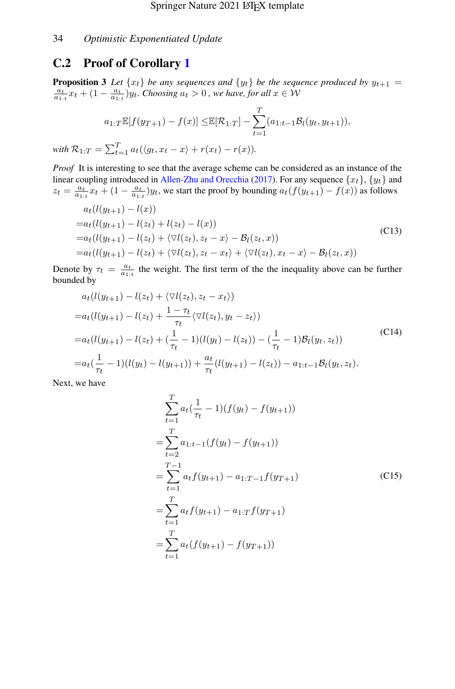## C.2 Proof of Corollary [1](#page-14-1)

<span id="page-33-3"></span>**Proposition 3** Let  $\{x_t\}$  be any sequences and  $\{y_t\}$  be the sequence produced by  $y_{t+1}$  =  $\frac{a_t}{a_{1:t}}x_t + (1 - \frac{a_t}{a_{1:t}})y_t$ . Choosing  $a_t > 0$ , we have, for all  $x \in W$ 

$$
a_{1:T} \mathbb{E}[f(y_{T+1}) - f(x)] \leq \mathbb{E}[\mathcal{R}_{1:T}] - \sum_{t=1}^{T} (a_{1:t-1} \mathcal{B}_l(y_t, y_{t+1})),
$$
  

$$
a_{1:T} = \sum_{t=1}^{T} a_t(\langle y_t, x_t - x \rangle + r(x_t) - r(x)).
$$

*with*  $\mathcal{R}_1$  $t_{t=1}^{T} a_t (\langle g_t, x_t - x \rangle + r(x_t) - r(x)).$ 

*Proof* It is interesting to see that the average scheme can be considered as an instance of the linear coupling introduced in [Allen-Zhu and Orecchia](#page-38-3) [\(2017\)](#page-38-3). For any sequence  $\{x_t\}$ ,  $\{y_t\}$  and  $z_t = \frac{a_t}{a_{1:t}} x_t + (1 - \frac{a_t}{a_{1:t}}) y_t$ , we start the proof by bounding  $a_t(f(y_{t+1}) - f(x))$  as follows

<span id="page-33-0"></span>
$$
a_t(l(y_{t+1}) - l(x))
$$
  
=  $a_t(l(y_{t+1}) - l(z_t) + l(z_t) - l(x))$   
=  $a_t(l(y_{t+1}) - l(z_t) + \langle \nabla l(z_t), z_t - x \rangle - \mathcal{B}_l(z_t, x))$  (C13)  
=  $a_t(l(y_{t+1}) - l(z_t) + \langle \nabla l(z_t), z_t - x_t \rangle + \langle \nabla l(z_t), x_t - x \rangle - \mathcal{B}_l(z_t, x))$ 

Denote by  $\tau_t = \frac{a_t}{a_{1:t}}$  the weight. The first term of the the inequality above can be further bounded by

<span id="page-33-1"></span>
$$
a_t(l(y_{t+1}) - l(z_t) + \langle \nabla l(z_t), z_t - x_t \rangle)
$$
  
\n
$$
= a_t(l(y_{t+1}) - l(z_t) + \frac{1 - \tau_t}{\tau_t} \langle \nabla l(z_t), y_t - z_t \rangle)
$$
  
\n
$$
= a_t(l(y_{t+1}) - l(z_t) + (\frac{1}{\tau_t} - 1)(l(y_t) - l(z_t)) - (\frac{1}{\tau_t} - 1)B_l(y_t, z_t))
$$
\n(C14)  
\n
$$
= a_t(\frac{1}{\tau_t} - 1)(l(y_t) - l(y_{t+1})) + \frac{a_t}{\tau_t}(l(y_{t+1}) - l(z_t)) - a_{1:t-1}B_l(y_t, z_t).
$$

<span id="page-33-2"></span>Next, we have

$$
\sum_{t=1}^{T} a_t \left( \frac{1}{\tau_t} - 1 \right) (f(y_t) - f(y_{t+1}))
$$
\n
$$
= \sum_{t=2}^{T} a_{1:t-1} (f(y_t) - f(y_{t+1}))
$$
\n
$$
= \sum_{t=1}^{T-1} a_t f(y_{t+1}) - a_{1:T-1} f(y_{T+1})
$$
\n
$$
= \sum_{t=1}^{T} a_t f(y_{t+1}) - a_{1:T} f(y_{T+1})
$$
\n
$$
= \sum_{t=1}^{T} a_t (f(y_{t+1}) - f(y_{T+1}))
$$
\n(C15)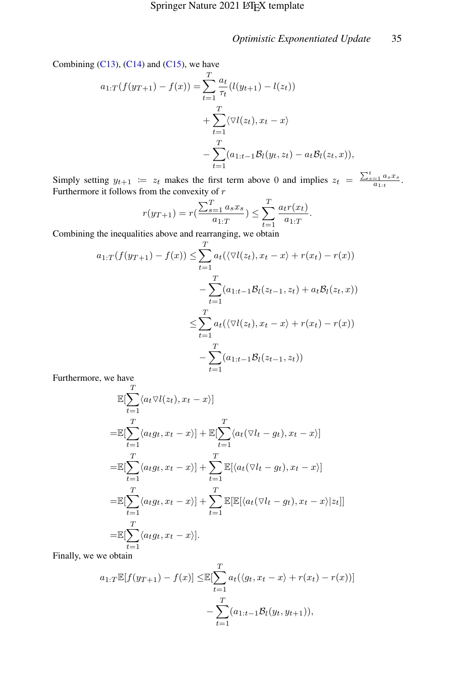Combining  $(C13)$ ,  $(C14)$  and  $(C15)$ , we have

$$
a_{1:T}(f(y_{T+1}) - f(x)) = \sum_{t=1}^{T} \frac{a_t}{\tau_t} (l(y_{t+1}) - l(z_t))
$$
  
+ 
$$
\sum_{t=1}^{T} \langle \nabla l(z_t), x_t - x \rangle
$$
  
- 
$$
\sum_{t=1}^{T} (a_{1:t-1}B_l(y_t, z_t) - a_t B_l(z_t, x)),
$$

Simply setting  $y_{t+1} := z_t$  makes the first term above 0 and implies  $z_t = \frac{\sum_{s=1}^{t} a_s x_s}{a_{1:t}}$ . Furthermore it follows from the convexity of r

$$
r(y_{T+1}) = r\left(\frac{\sum_{s=1}^{T} a_s x_s}{a_{1:T}}\right) \le \sum_{t=1}^{T} \frac{a_t r(x_t)}{a_{1:T}}.
$$

Combining the inequalities above and rearranging, we obtain

$$
a_{1:T}(f(y_{T+1}) - f(x)) \leq \sum_{t=1}^{T} a_t(\langle \nabla l(z_t), x_t - x \rangle + r(x_t) - r(x))
$$
  

$$
- \sum_{t=1}^{T} (a_{1:t-1}B_l(z_{t-1}, z_t) + a_t B_l(z_t, x))
$$
  

$$
\leq \sum_{t=1}^{T} a_t(\langle \nabla l(z_t), x_t - x \rangle + r(x_t) - r(x))
$$
  

$$
- \sum_{t=1}^{T} (a_{1:t-1}B_l(z_{t-1}, z_t))
$$

Furthermore, we have  $\sigma$ 

$$
\mathbb{E}[\sum_{t=1}^{T} \langle a_t \nabla l(z_t), x_t - x \rangle]
$$
\n
$$
= \mathbb{E}[\sum_{t=1}^{T} \langle a_t g_t, x_t - x \rangle] + \mathbb{E}[\sum_{t=1}^{T} \langle a_t (\nabla l_t - g_t), x_t - x \rangle]
$$
\n
$$
= \mathbb{E}[\sum_{t=1}^{T} \langle a_t g_t, x_t - x \rangle] + \sum_{t=1}^{T} \mathbb{E}[\langle a_t (\nabla l_t - g_t), x_t - x \rangle]
$$
\n
$$
= \mathbb{E}[\sum_{t=1}^{T} \langle a_t g_t, x_t - x \rangle] + \sum_{t=1}^{T} \mathbb{E}[\mathbb{E}[\langle a_t (\nabla l_t - g_t), x_t - x \rangle | z_t]]
$$
\n
$$
= \mathbb{E}[\sum_{t=1}^{T} \langle a_t g_t, x_t - x \rangle].
$$

Finally, we we obtain

$$
a_{1:T} \mathbb{E}[f(y_{T+1}) - f(x)] \leq \mathbb{E}[\sum_{t=1}^{T} a_t(\langle g_t, x_t - x \rangle + r(x_t) - r(x))]
$$

$$
- \sum_{t=1}^{T} (a_{1:t-1} \mathcal{B}_l(y_t, y_{t+1})),
$$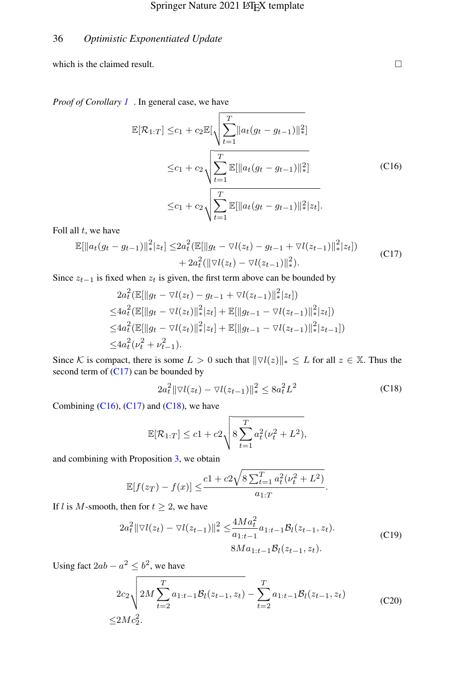which is the claimed result.  $\Box$ 

<span id="page-35-1"></span>*Proof of Corollary [1](#page-14-1)* . In general case, we have

$$
\mathbb{E}[\mathcal{R}_{1:T}] \leq c_1 + c_2 \mathbb{E}[\sqrt{\sum_{t=1}^T \|a_t(g_t - g_{t-1})\|_{*}^2}]
$$
  

$$
\leq c_1 + c_2 \sqrt{\sum_{t=1}^T \mathbb{E}[\|a_t(g_t - g_{t-1})\|_{*}^2]}
$$
  

$$
\leq c_1 + c_2 \sqrt{\sum_{t=1}^T \mathbb{E}[\|a_t(g_t - g_{t-1})\|_{*}^2 |z_t]}.
$$
 (C16)

<span id="page-35-0"></span>Foll all  $t$ , we have

$$
\mathbb{E}[\|a_t(g_t - g_{t-1})\|_{*}^{2} |z_t] \leq 2a_t^2 (\mathbb{E}[\|g_t - \nabla l(z_t) - g_{t-1} + \nabla l(z_{t-1})\|_{*}^{2} |z_t]) + 2a_t^2 (\|\nabla l(z_t) - \nabla l(z_{t-1})\|_{*}^{2}).
$$
\n(C17)

Since  $z_{t-1}$  is fixed when  $z_t$  is given, the first term above can be bounded by

$$
2a_t^2 \left(\mathbb{E}[\|g_t - \nabla l(z_t) - g_{t-1} + \nabla l(z_{t-1})\|_{*}^2 |z_t]\right)
$$
  
\n
$$
\leq 4a_t^2 \left(\mathbb{E}[\|g_t - \nabla l(z_t)\|_{*}^2 |z_t] + \mathbb{E}[\|g_{t-1} - \nabla l(z_{t-1})\|_{*}^2 |z_t]\right)
$$
  
\n
$$
\leq 4a_t^2 \left(\mathbb{E}[\|g_t - \nabla l(z_t)\|_{*}^2 |z_t] + \mathbb{E}[\|g_{t-1} - \nabla l(z_{t-1})\|_{*}^2 |z_{t-1}]\right)
$$
  
\n
$$
\leq 4a_t^2 (\nu_t^2 + \nu_{t-1}^2).
$$

Since K is compact, there is some  $L > 0$  such that  $\|\nabla l(z)\|_{*} \leq L$  for all  $z \in \mathbb{X}$ . Thus the second term of  $(C17)$  can be bounded by

$$
2a_t^2 \|\nabla l(z_t) - \nabla l(z_{t-1})\|_*^2 \le 8a_t^2 L^2
$$
 (C18)

<span id="page-35-2"></span>Combining  $(C16)$ ,  $(C17)$  and  $(C18)$ , we have

$$
\mathbb{E}[\mathcal{R}_{1:T}] \le c1 + c2 \sqrt{8 \sum_{t=1}^{T} a_t^2 (\nu_t^2 + L^2)},
$$

and combining with Proposition [3,](#page-33-3) we obtain

$$
\mathbb{E}[f(z_T) - f(x)] \leq \frac{c1 + c2\sqrt{8\sum_{t=1}^{T} a_t^2(\nu_t^2 + L^2)}}{a_{1:T}}.
$$

If *l* is *M*-smooth, then for  $t \geq 2$ , we have

$$
2a_t^2 \|\nabla l(z_t) - \nabla l(z_{t-1})\|_{*}^2 \le \frac{4Ma_t^2}{a_{1:t-1}} a_{1:t-1} \mathcal{B}_l(z_{t-1}, z_t).
$$
\n(C19)\n
$$
8Ma_{1:t-1} \mathcal{B}_l(z_{t-1}, z_t).
$$

<span id="page-35-3"></span>Using fact  $2ab - a^2 \leq b^2$ , we have

$$
2c_2 \sqrt{2M \sum_{t=2}^{T} a_{1:t-1} \mathcal{B}_l(z_{t-1}, z_t)} - \sum_{t=2}^{T} a_{1:t-1} \mathcal{B}_l(z_{t-1}, z_t)
$$
(C20)  

$$
\leq 2Mc_2^2.
$$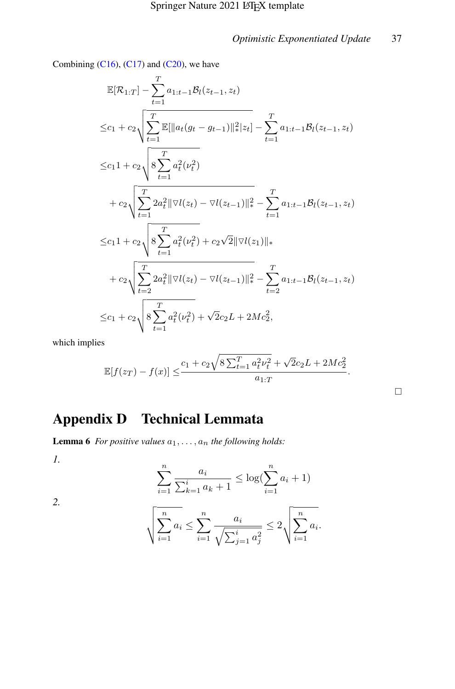$\Box$ 

Combining  $(C16)$ ,  $(C17)$  and  $(C20)$ , we have

$$
\mathbb{E}[\mathcal{R}_{1:T}] - \sum_{t=1}^{T} a_{1:t-1} \mathcal{B}_l(z_{t-1}, z_t)
$$
\n
$$
\leq c_1 + c_2 \sqrt{\sum_{t=1}^{T} \mathbb{E}[\|a_t(g_t - g_{t-1})\|^2 \, |z_t] - \sum_{t=1}^{T} a_{1:t-1} \mathcal{B}_l(z_{t-1}, z_t)}
$$
\n
$$
\leq c_1 1 + c_2 \sqrt{8 \sum_{t=1}^{T} a_t^2(\nu_t^2)}
$$
\n
$$
+ c_2 \sqrt{\sum_{t=1}^{T} 2a_t^2 \|\nabla l(z_t) - \nabla l(z_{t-1})\|^2 \, \sum_{t=1}^{T} a_{1:t-1} \mathcal{B}_l(z_{t-1}, z_t)}
$$
\n
$$
\leq c_1 1 + c_2 \sqrt{8 \sum_{t=1}^{T} a_t^2(\nu_t^2) + c_2 \sqrt{2} \|\nabla l(z_1)\|_*
$$
\n
$$
+ c_2 \sqrt{\sum_{t=2}^{T} 2a_t^2 \|\nabla l(z_t) - \nabla l(z_{t-1})\|^2 \, \sum_{t=2}^{T} a_{1:t-1} \mathcal{B}_l(z_{t-1}, z_t)}
$$
\n
$$
\leq c_1 + c_2 \sqrt{8 \sum_{t=1}^{T} a_t^2(\nu_t^2) + \sqrt{2}c_2 L + 2Mc_2^2},
$$

which implies

$$
\mathbb{E}[f(z_T) - f(x)] \le \frac{c_1 + c_2 \sqrt{8 \sum_{t=1}^T a_t^2 \nu_t^2} + \sqrt{2}c_2 L + 2Mc_2^2}{a_{1:T}}.
$$

Appendix D Technical Lemmata

<span id="page-36-0"></span>**Lemma 6** *For positive values*  $a_1, \ldots, a_n$  *the following holds:* 

*1.*

$$
\sum_{i=1}^{n} \frac{a_i}{\sum_{k=1}^{i} a_k + 1} \le \log(\sum_{i=1}^{n} a_i + 1)
$$

*2.*

$$
\sqrt{\sum_{i=1}^n a_i} \le \sum_{i=1}^n \frac{a_i}{\sqrt{\sum_{j=1}^i a_j^2}} \le 2\sqrt{\sum_{i=1}^n a_i}.
$$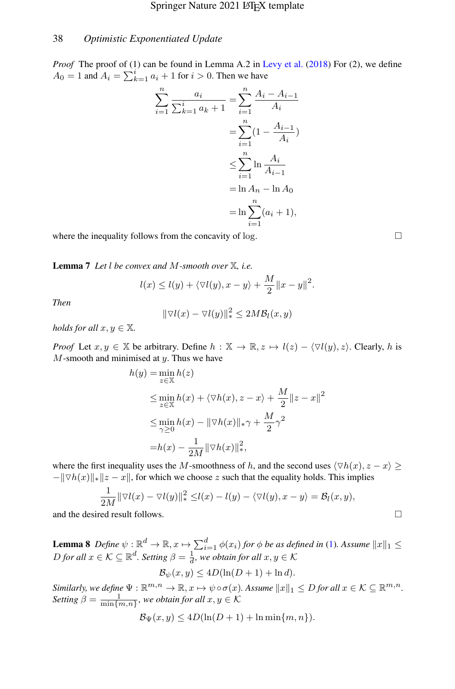*Proof* The proof of (1) can be found in Lemma A.2 in [Levy et al.](#page-40-5) [\(2018\)](#page-40-5) For (2), we define  $A_0 = 1$  and  $A_i = \sum_{k=1}^i a_i + 1$  for  $i > 0$ . Then we have

$$
\sum_{i=1}^{n} \frac{a_i}{\sum_{k=1}^{i} a_k + 1} = \sum_{i=1}^{n} \frac{A_i - A_{i-1}}{A_i}
$$

$$
= \sum_{i=1}^{n} (1 - \frac{A_{i-1}}{A_i})
$$

$$
\leq \sum_{i=1}^{n} \ln \frac{A_i}{A_{i-1}}
$$

$$
= \ln A_n - \ln A_0
$$

$$
= \ln \sum_{i=1}^{n} (a_i + 1),
$$

where the inequality follows from the concavity of log.  $\Box$ 

Lemma 7 *Let* l *be convex and* M*-smooth over* X*, i.e.*

$$
l(x) \le l(y) + \langle \nabla l(y), x - y \rangle + \frac{M}{2} ||x - y||^2.
$$

*Then*

$$
\|\nabla l(x) - \nabla l(y)\|_{*}^{2} \le 2M\mathcal{B}_{l}(x, y)
$$

*holds for all*  $x, y \in \mathbb{X}$ *.* 

*Proof* Let  $x, y \in \mathbb{X}$  be arbitrary. Define  $h : \mathbb{X} \to \mathbb{R}, z \mapsto l(z) - \langle \nabla l(y), z \rangle$ . Clearly, h is  $M$ -smooth and minimised at  $y$ . Thus we have

$$
h(y) = \min_{z \in \mathbb{X}} h(z)
$$
  
\n
$$
\leq \min_{z \in \mathbb{X}} h(x) + \langle \nabla h(x), z - x \rangle + \frac{M}{2} ||z - x||^2
$$
  
\n
$$
\leq \min_{\gamma \geq 0} h(x) - ||\nabla h(x)||_{*} \gamma + \frac{M}{2} \gamma^2
$$
  
\n
$$
= h(x) - \frac{1}{2M} ||\nabla h(x)||_{*}^2,
$$

where the first inequality uses the M-smoothness of h, and the second uses  $\langle \nabla h(x), z - x \rangle \geq 0$  $-\|\nabla h(x)\|_*\|z - x\|$ , for which we choose z such that the equality holds. This implies

$$
\frac{1}{2M} \|\nabla l(x) - \nabla l(y)\|_*^2 \leq l(x) - l(y) - \langle \nabla l(y), x - y \rangle = \mathcal{B}_l(x, y),
$$

and the desired result follows.

<span id="page-37-0"></span>**Lemma 8** *Define*  $\psi$  :  $\mathbb{R}^d \to \mathbb{R}$ ,  $x \mapsto \sum_{i=1}^d \phi(x_i)$  for  $\phi$  be as defined in [\(1\)](#page-5-1). Assume  $||x||_1 \le$ *D* for all  $x \in \mathcal{K} \subseteq \mathbb{R}^d$ . Setting  $\beta = \frac{1}{d}$ , we obtain for all  $x, y \in \mathcal{K}$ 

$$
\mathcal{B}_{\psi}(x,y) \le 4D(\ln(D+1) + \ln d).
$$

*Similarly, we define*  $\Psi : \mathbb{R}^{m,n} \to \mathbb{R}, x \mapsto \psi \circ \sigma(x)$ *. Assume*  $||x||_1 \leq D$  *for all*  $x \in \mathcal{K} \subseteq \mathbb{R}^{m,n}$ *. Setting*  $\beta = \frac{1}{\min\{m,n\}}$ , we obtain for all  $x, y \in \mathcal{K}$ 

$$
\mathcal{B}_{\Psi}(x, y) \le 4D(\ln(D+1) + \ln \min\{m, n\}).
$$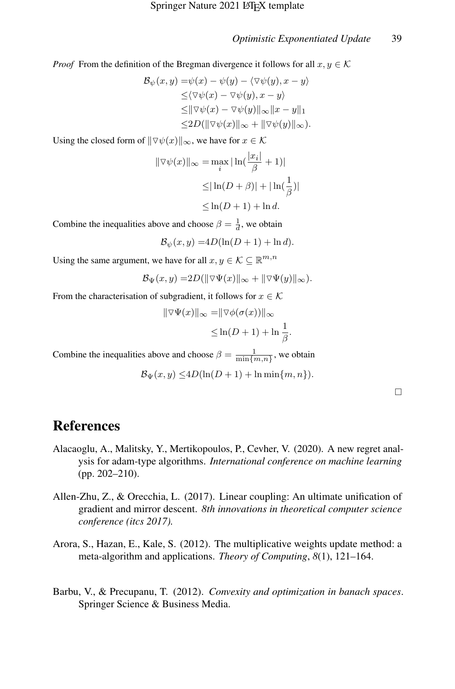*Proof* From the definition of the Bregman divergence it follows for all  $x, y \in K$ 

$$
\mathcal{B}_{\psi}(x, y) = \psi(x) - \psi(y) - \langle \nabla \psi(y), x - y \rangle
$$
  
\n
$$
\leq \langle \nabla \psi(x) - \nabla \psi(y), x - y \rangle
$$
  
\n
$$
\leq \|\nabla \psi(x) - \nabla \psi(y)\|_{\infty} \|x - y\|_{1}
$$
  
\n
$$
\leq 2D(\|\nabla \psi(x)\|_{\infty} + \|\nabla \psi(y)\|_{\infty}).
$$

Using the closed form of  $\|\nabla \psi(x)\|_{\infty}$ , we have for  $x \in \mathcal{K}$ 

$$
\|\nabla \psi(x)\|_{\infty} = \max_{i} |\ln(\frac{|x_i|}{\beta} + 1)|
$$
  
\n
$$
\leq |\ln(D + \beta)| + |\ln(\frac{1}{\beta})|
$$
  
\n
$$
\leq \ln(D + 1) + \ln d.
$$

Combine the inequalities above and choose  $\beta = \frac{1}{d}$ , we obtain

 $\mathcal{B}_{\psi}(x, y) = 4D(\ln(D + 1) + \ln d).$ 

Using the same argument, we have for all  $x, y \in K \subseteq \mathbb{R}^{m,n}$ 

$$
\mathcal{B}_{\Psi}(x,y) = 2D(\|\nabla \Psi(x)\|_{\infty} + \|\nabla \Psi(y)\|_{\infty}).
$$

From the characterisation of subgradient, it follows for  $x \in \mathcal{K}$ 

$$
\|\nabla\Psi(x)\|_{\infty} = \|\nabla\phi(\sigma(x))\|_{\infty}
$$
  

$$
\leq \ln(D+1) + \ln\frac{1}{\beta}.
$$

Combine the inequalities above and choose  $\beta = \frac{1}{\min\{m,n\}}$ , we obtain

$$
\mathcal{B}_{\Psi}(x, y) \le 4D(\ln(D+1) + \ln \min\{m, n\}).
$$

# References

- <span id="page-38-0"></span>Alacaoglu, A., Malitsky, Y., Mertikopoulos, P., Cevher, V. (2020). A new regret analysis for adam-type algorithms. *International conference on machine learning* (pp. 202–210).
- <span id="page-38-3"></span>Allen-Zhu, Z., & Orecchia, L. (2017). Linear coupling: An ultimate unification of gradient and mirror descent. *8th innovations in theoretical computer science conference (itcs 2017).*
- <span id="page-38-1"></span>Arora, S., Hazan, E., Kale, S. (2012). The multiplicative weights update method: a meta-algorithm and applications. *Theory of Computing*, *8*(1), 121–164.
- <span id="page-38-2"></span>Barbu, V., & Precupanu, T. (2012). *Convexity and optimization in banach spaces*. Springer Science & Business Media.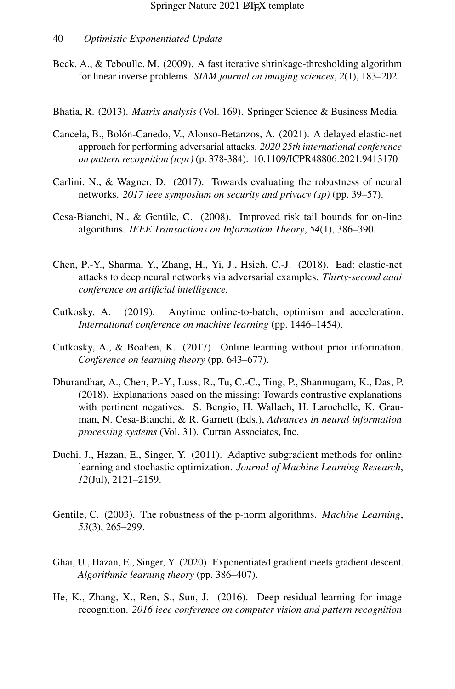- <span id="page-39-8"></span>Beck, A., & Teboulle, M. (2009). A fast iterative shrinkage-thresholding algorithm for linear inverse problems. *SIAM journal on imaging sciences*, *2*(1), 183–202.
- <span id="page-39-12"></span>Bhatia, R. (2013). *Matrix analysis* (Vol. 169). Springer Science & Business Media.
- <span id="page-39-5"></span>Cancela, B., Bolón-Canedo, V., Alonso-Betanzos, A. (2021). A delayed elastic-net approach for performing adversarial attacks. *2020 25th international conference on pattern recognition (icpr)* (p. 378-384). 10.1109/ICPR48806.2021.9413170
- <span id="page-39-6"></span>Carlini, N., & Wagner, D. (2017). Towards evaluating the robustness of neural networks. *2017 ieee symposium on security and privacy (sp)* (pp. 39–57).
- <span id="page-39-9"></span>Cesa-Bianchi, N., & Gentile, C. (2008). Improved risk tail bounds for on-line algorithms. *IEEE Transactions on Information Theory*, *54*(1), 386–390.
- <span id="page-39-7"></span>Chen, P.-Y., Sharma, Y., Zhang, H., Yi, J., Hsieh, C.-J. (2018). Ead: elastic-net attacks to deep neural networks via adversarial examples. *Thirty-second aaai conference on artificial intelligence.*
- <span id="page-39-4"></span>Cutkosky, A. (2019). Anytime online-to-batch, optimism and acceleration. *International conference on machine learning* (pp. 1446–1454).
- <span id="page-39-10"></span>Cutkosky, A., & Boahen, K. (2017). Online learning without prior information. *Conference on learning theory* (pp. 643–677).
- <span id="page-39-0"></span>Dhurandhar, A., Chen, P.-Y., Luss, R., Tu, C.-C., Ting, P., Shanmugam, K., Das, P. (2018). Explanations based on the missing: Towards contrastive explanations with pertinent negatives. S. Bengio, H. Wallach, H. Larochelle, K. Grauman, N. Cesa-Bianchi, & R. Garnett (Eds.), *Advances in neural information processing systems* (Vol. 31). Curran Associates, Inc.
- <span id="page-39-1"></span>Duchi, J., Hazan, E., Singer, Y. (2011). Adaptive subgradient methods for online learning and stochastic optimization. *Journal of Machine Learning Research*, *12*(Jul), 2121–2159.
- <span id="page-39-2"></span>Gentile, C. (2003). The robustness of the p-norm algorithms. *Machine Learning*, *53*(3), 265–299.
- <span id="page-39-3"></span>Ghai, U., Hazan, E., Singer, Y. (2020). Exponentiated gradient meets gradient descent. *Algorithmic learning theory* (pp. 386–407).
- <span id="page-39-11"></span>He, K., Zhang, X., Ren, S., Sun, J. (2016). Deep residual learning for image recognition. *2016 ieee conference on computer vision and pattern recognition*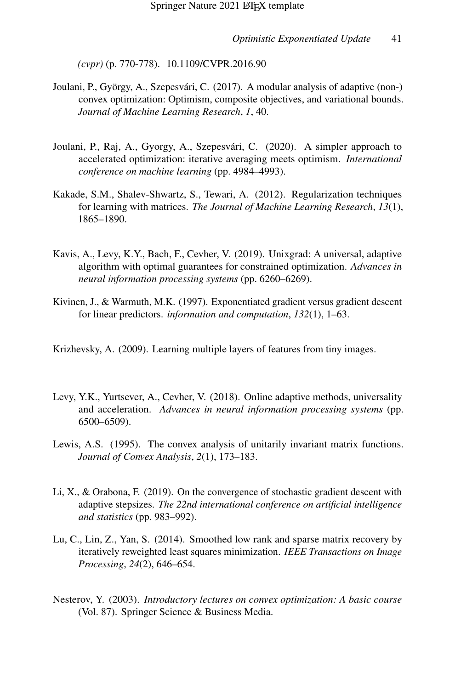*(cvpr)* (p. 770-778). 10.1109/CVPR.2016.90

- <span id="page-40-4"></span>Joulani, P., György, A., Szepesvári, C. (2017). A modular analysis of adaptive (non-) convex optimization: Optimism, composite objectives, and variational bounds. *Journal of Machine Learning Research*, *1*, 40.
- <span id="page-40-1"></span>Joulani, P., Raj, A., Gyorgy, A., Szepesvári, C. (2020). A simpler approach to accelerated optimization: iterative averaging meets optimism. *International conference on machine learning* (pp. 4984–4993).
- <span id="page-40-3"></span>Kakade, S.M., Shalev-Shwartz, S., Tewari, A. (2012). Regularization techniques for learning with matrices. *The Journal of Machine Learning Research*, *13*(1), 1865–1890.
- <span id="page-40-8"></span>Kavis, A., Levy, K.Y., Bach, F., Cevher, V. (2019). Unixgrad: A universal, adaptive algorithm with optimal guarantees for constrained optimization. *Advances in neural information processing systems* (pp. 6260–6269).
- <span id="page-40-2"></span>Kivinen, J., & Warmuth, M.K. (1997). Exponentiated gradient versus gradient descent for linear predictors. *information and computation*, *132*(1), 1–63.
- <span id="page-40-9"></span>Krizhevsky, A. (2009). Learning multiple layers of features from tiny images.
- <span id="page-40-5"></span>Levy, Y.K., Yurtsever, A., Cevher, V. (2018). Online adaptive methods, universality and acceleration. *Advances in neural information processing systems* (pp. 6500–6509).
- <span id="page-40-10"></span>Lewis, A.S. (1995). The convex analysis of unitarily invariant matrix functions. *Journal of Convex Analysis*, *2*(1), 173–183.
- <span id="page-40-7"></span>Li, X., & Orabona, F. (2019). On the convergence of stochastic gradient descent with adaptive stepsizes. *The 22nd international conference on artificial intelligence and statistics* (pp. 983–992).
- <span id="page-40-0"></span>Lu, C., Lin, Z., Yan, S. (2014). Smoothed low rank and sparse matrix recovery by iteratively reweighted least squares minimization. *IEEE Transactions on Image Processing*, *24*(2), 646–654.
- <span id="page-40-6"></span>Nesterov, Y. (2003). *Introductory lectures on convex optimization: A basic course* (Vol. 87). Springer Science & Business Media.